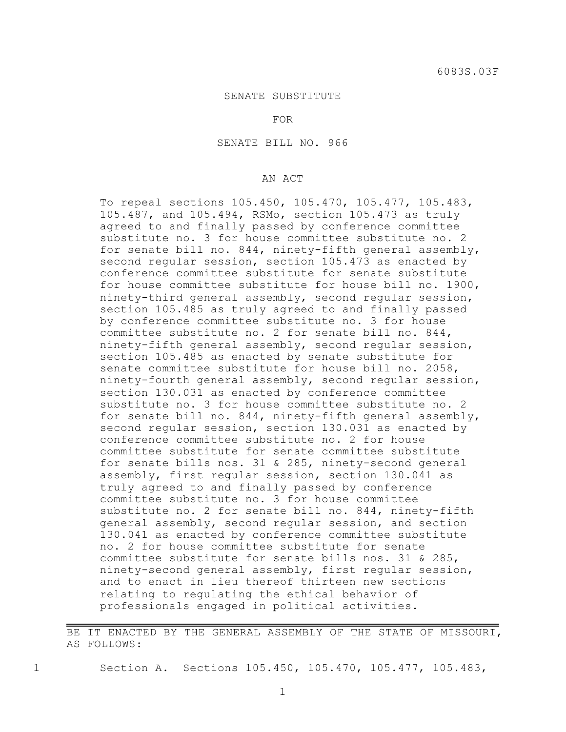## SENATE SUBSTITUTE

## FOR

SENATE BILL NO. 966

## AN ACT

To repeal sections 105.450, 105.470, 105.477, 105.483, 105.487, and 105.494, RSMo, section 105.473 as truly agreed to and finally passed by conference committee substitute no. 3 for house committee substitute no. 2 for senate bill no. 844, ninety-fifth general assembly, second regular session, section 105.473 as enacted by conference committee substitute for senate substitute for house committee substitute for house bill no. 1900, ninety-third general assembly, second regular session, section 105.485 as truly agreed to and finally passed by conference committee substitute no. 3 for house committee substitute no. 2 for senate bill no. 844, ninety-fifth general assembly, second regular session, section 105.485 as enacted by senate substitute for senate committee substitute for house bill no. 2058, ninety-fourth general assembly, second regular session, section 130.031 as enacted by conference committee substitute no. 3 for house committee substitute no. 2 for senate bill no. 844, ninety-fifth general assembly, second regular session, section 130.031 as enacted by conference committee substitute no. 2 for house committee substitute for senate committee substitute for senate bills nos. 31 & 285, ninety-second general assembly, first regular session, section 130.041 as truly agreed to and finally passed by conference committee substitute no. 3 for house committee substitute no. 2 for senate bill no. 844, ninety-fifth general assembly, second regular session, and section 130.041 as enacted by conference committee substitute no. 2 for house committee substitute for senate committee substitute for senate bills nos. 31 & 285, ninety-second general assembly, first regular session, and to enact in lieu thereof thirteen new sections relating to regulating the ethical behavior of professionals engaged in political activities.

BE IT ENACTED BY THE GENERAL ASSEMBLY OF THE STATE OF MISSOURI, AS FOLLOWS:

1 Section A. Sections 105.450, 105.470, 105.477, 105.483,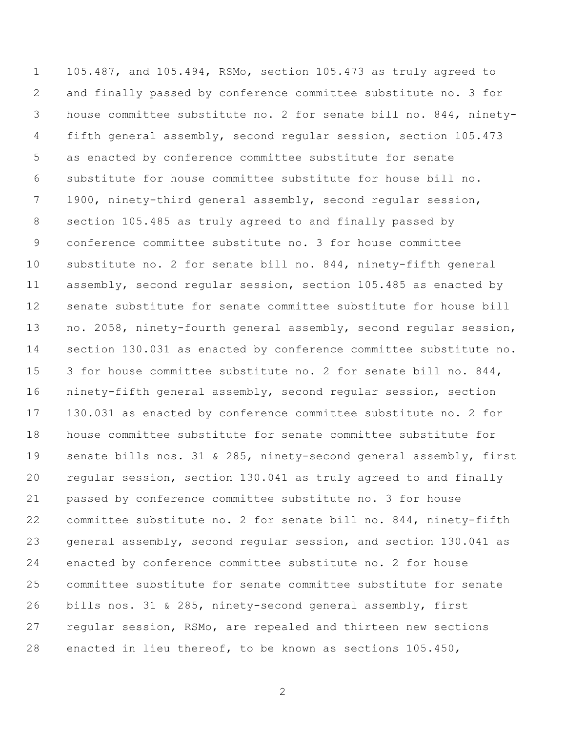105.487, and 105.494, RSMo, section 105.473 as truly agreed to and finally passed by conference committee substitute no. 3 for house committee substitute no. 2 for senate bill no. 844, ninety- fifth general assembly, second regular session, section 105.473 as enacted by conference committee substitute for senate substitute for house committee substitute for house bill no. 1900, ninety-third general assembly, second regular session, section 105.485 as truly agreed to and finally passed by conference committee substitute no. 3 for house committee substitute no. 2 for senate bill no. 844, ninety-fifth general assembly, second regular session, section 105.485 as enacted by senate substitute for senate committee substitute for house bill no. 2058, ninety-fourth general assembly, second regular session, section 130.031 as enacted by conference committee substitute no. 3 for house committee substitute no. 2 for senate bill no. 844, ninety-fifth general assembly, second regular session, section 130.031 as enacted by conference committee substitute no. 2 for house committee substitute for senate committee substitute for senate bills nos. 31 & 285, ninety-second general assembly, first regular session, section 130.041 as truly agreed to and finally passed by conference committee substitute no. 3 for house committee substitute no. 2 for senate bill no. 844, ninety-fifth general assembly, second regular session, and section 130.041 as enacted by conference committee substitute no. 2 for house committee substitute for senate committee substitute for senate bills nos. 31 & 285, ninety-second general assembly, first regular session, RSMo, are repealed and thirteen new sections enacted in lieu thereof, to be known as sections 105.450,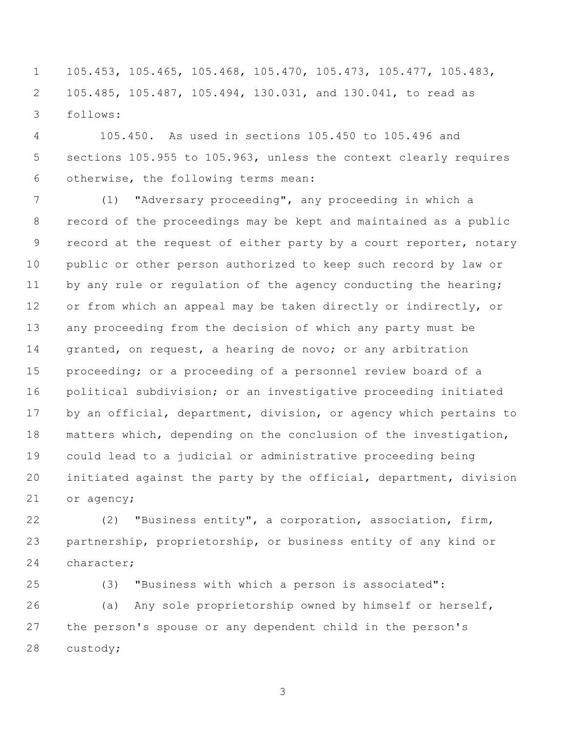105.453, 105.465, 105.468, 105.470, 105.473, 105.477, 105.483, 105.485, 105.487, 105.494, 130.031, and 130.041, to read as follows:

 105.450. As used in sections 105.450 to 105.496 and sections 105.955 to 105.963, unless the context clearly requires otherwise, the following terms mean:

 (1) "Adversary proceeding", any proceeding in which a record of the proceedings may be kept and maintained as a public 9 record at the request of either party by a court reporter, notary public or other person authorized to keep such record by law or 11 by any rule or regulation of the agency conducting the hearing; or from which an appeal may be taken directly or indirectly, or any proceeding from the decision of which any party must be 14 granted, on request, a hearing de novo; or any arbitration proceeding; or a proceeding of a personnel review board of a political subdivision; or an investigative proceeding initiated 17 by an official, department, division, or agency which pertains to matters which, depending on the conclusion of the investigation, could lead to a judicial or administrative proceeding being initiated against the party by the official, department, division or agency;

 (2) "Business entity", a corporation, association, firm, partnership, proprietorship, or business entity of any kind or character;

 (3) "Business with which a person is associated": (a) Any sole proprietorship owned by himself or herself, the person's spouse or any dependent child in the person's custody;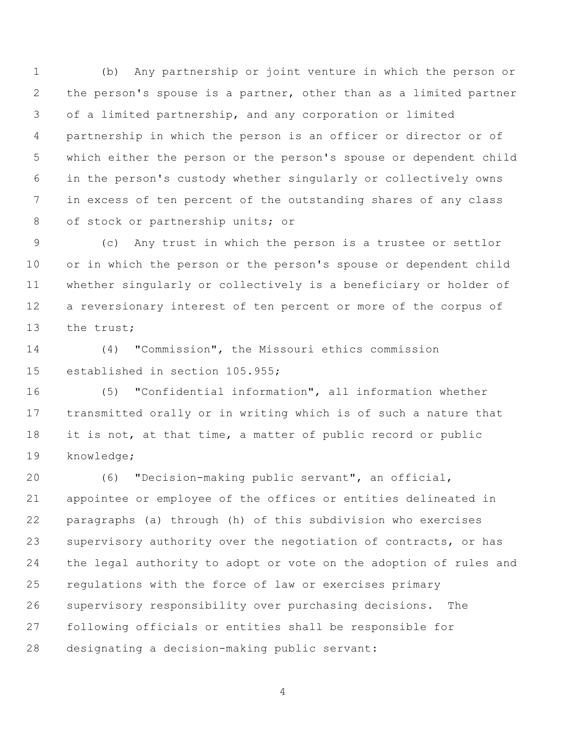(b) Any partnership or joint venture in which the person or the person's spouse is a partner, other than as a limited partner of a limited partnership, and any corporation or limited partnership in which the person is an officer or director or of which either the person or the person's spouse or dependent child in the person's custody whether singularly or collectively owns in excess of ten percent of the outstanding shares of any class of stock or partnership units; or

 (c) Any trust in which the person is a trustee or settlor or in which the person or the person's spouse or dependent child whether singularly or collectively is a beneficiary or holder of a reversionary interest of ten percent or more of the corpus of the trust;

 (4) "Commission", the Missouri ethics commission established in section 105.955;

 (5) "Confidential information", all information whether transmitted orally or in writing which is of such a nature that 18 it is not, at that time, a matter of public record or public knowledge;

 (6) "Decision-making public servant", an official, appointee or employee of the offices or entities delineated in paragraphs (a) through (h) of this subdivision who exercises 23 supervisory authority over the negotiation of contracts, or has the legal authority to adopt or vote on the adoption of rules and regulations with the force of law or exercises primary supervisory responsibility over purchasing decisions. The following officials or entities shall be responsible for designating a decision-making public servant: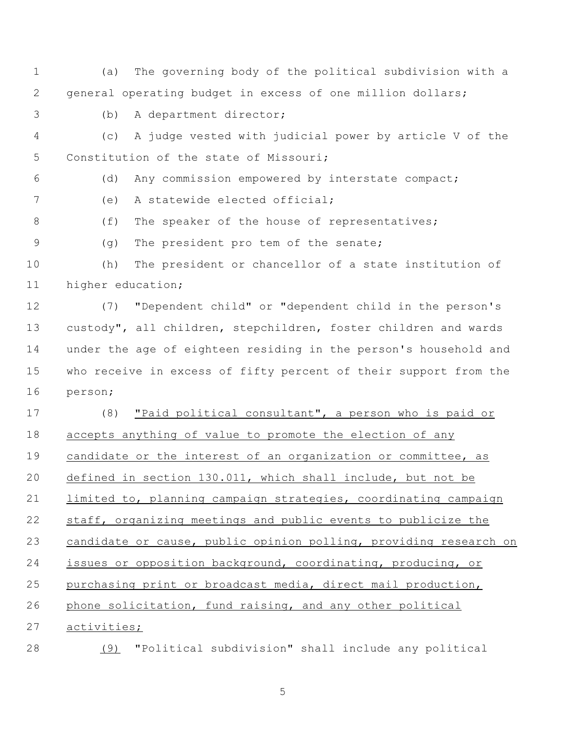(a) The governing body of the political subdivision with a general operating budget in excess of one million dollars; (b) A department director;

 (c) A judge vested with judicial power by article V of the Constitution of the state of Missouri;

(d) Any commission empowered by interstate compact;

(e) A statewide elected official;

8 (f) The speaker of the house of representatives;

(g) The president pro tem of the senate;

 (h) The president or chancellor of a state institution of higher education;

 (7) "Dependent child" or "dependent child in the person's custody", all children, stepchildren, foster children and wards under the age of eighteen residing in the person's household and who receive in excess of fifty percent of their support from the person;

 (8) "Paid political consultant", a person who is paid or accepts anything of value to promote the election of any candidate or the interest of an organization or committee, as defined in section 130.011, which shall include, but not be limited to, planning campaign strategies, coordinating campaign staff, organizing meetings and public events to publicize the candidate or cause, public opinion polling, providing research on issues or opposition background, coordinating, producing, or purchasing print or broadcast media, direct mail production, phone solicitation, fund raising, and any other political activities;

(9) "Political subdivision" shall include any political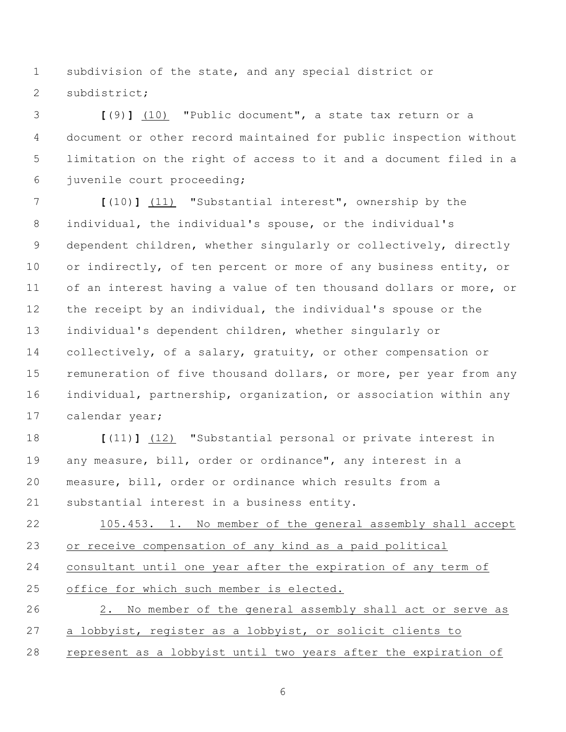subdivision of the state, and any special district or subdistrict;

 **[**(9)**]** (10) "Public document", a state tax return or a document or other record maintained for public inspection without limitation on the right of access to it and a document filed in a juvenile court proceeding;

 **[**(10)**]** (11) "Substantial interest", ownership by the individual, the individual's spouse, or the individual's dependent children, whether singularly or collectively, directly 10 or indirectly, of ten percent or more of any business entity, or of an interest having a value of ten thousand dollars or more, or the receipt by an individual, the individual's spouse or the individual's dependent children, whether singularly or collectively, of a salary, gratuity, or other compensation or 15 remuneration of five thousand dollars, or more, per year from any individual, partnership, organization, or association within any calendar year;

 **[**(11)**]** (12) "Substantial personal or private interest in any measure, bill, order or ordinance", any interest in a measure, bill, order or ordinance which results from a substantial interest in a business entity.

 105.453. 1. No member of the general assembly shall accept or receive compensation of any kind as a paid political consultant until one year after the expiration of any term of office for which such member is elected. 2. No member of the general assembly shall act or serve as a lobbyist, register as a lobbyist, or solicit clients to

represent as a lobbyist until two years after the expiration of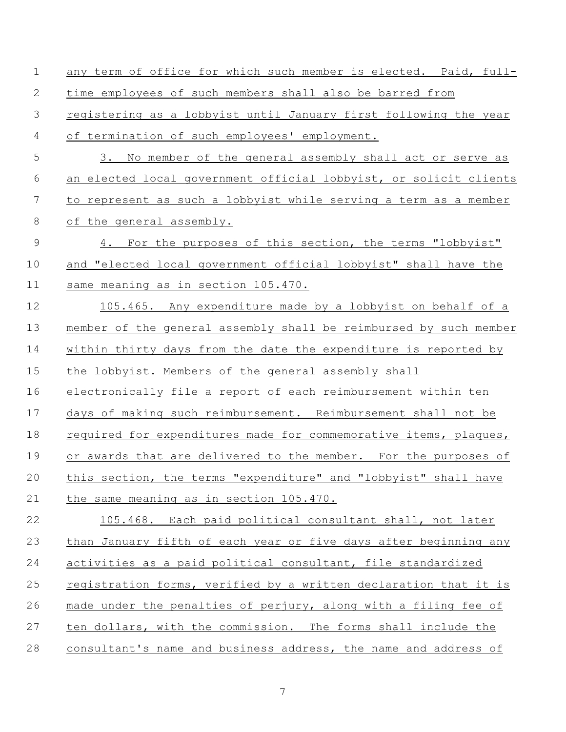any term of office for which such member is elected. Paid, full- time employees of such members shall also be barred from registering as a lobbyist until January first following the year of termination of such employees' employment. 3. No member of the general assembly shall act or serve as an elected local government official lobbyist, or solicit clients to represent as such a lobbyist while serving a term as a member of the general assembly. 9 4. For the purposes of this section, the terms "lobbyist" and "elected local government official lobbyist" shall have the same meaning as in section 105.470. 105.465. Any expenditure made by a lobbyist on behalf of a member of the general assembly shall be reimbursed by such member within thirty days from the date the expenditure is reported by the lobbyist. Members of the general assembly shall electronically file a report of each reimbursement within ten days of making such reimbursement. Reimbursement shall not be 18 required for expenditures made for commemorative items, plaques, or awards that are delivered to the member. For the purposes of this section, the terms "expenditure" and "lobbyist" shall have the same meaning as in section 105.470. 105.468. Each paid political consultant shall, not later than January fifth of each year or five days after beginning any activities as a paid political consultant, file standardized registration forms, verified by a written declaration that it is made under the penalties of perjury, along with a filing fee of ten dollars, with the commission. The forms shall include the consultant's name and business address, the name and address of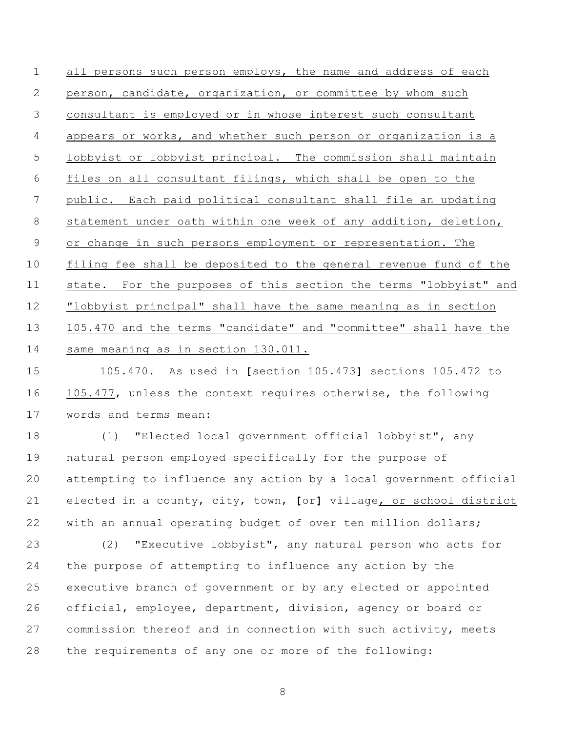all persons such person employs, the name and address of each person, candidate, organization, or committee by whom such consultant is employed or in whose interest such consultant appears or works, and whether such person or organization is a lobbyist or lobbyist principal. The commission shall maintain files on all consultant filings, which shall be open to the public. Each paid political consultant shall file an updating statement under oath within one week of any addition, deletion, or change in such persons employment or representation. The filing fee shall be deposited to the general revenue fund of the state. For the purposes of this section the terms "lobbyist" and "lobbyist principal" shall have the same meaning as in section 105.470 and the terms "candidate" and "committee" shall have the same meaning as in section 130.011.

 105.470. As used in **[**section 105.473**]** sections 105.472 to 105.477, unless the context requires otherwise, the following words and terms mean:

 (1) "Elected local government official lobbyist", any natural person employed specifically for the purpose of attempting to influence any action by a local government official elected in a county, city, town, **[**or**]** village, or school district with an annual operating budget of over ten million dollars;

 (2) "Executive lobbyist", any natural person who acts for the purpose of attempting to influence any action by the executive branch of government or by any elected or appointed official, employee, department, division, agency or board or commission thereof and in connection with such activity, meets the requirements of any one or more of the following: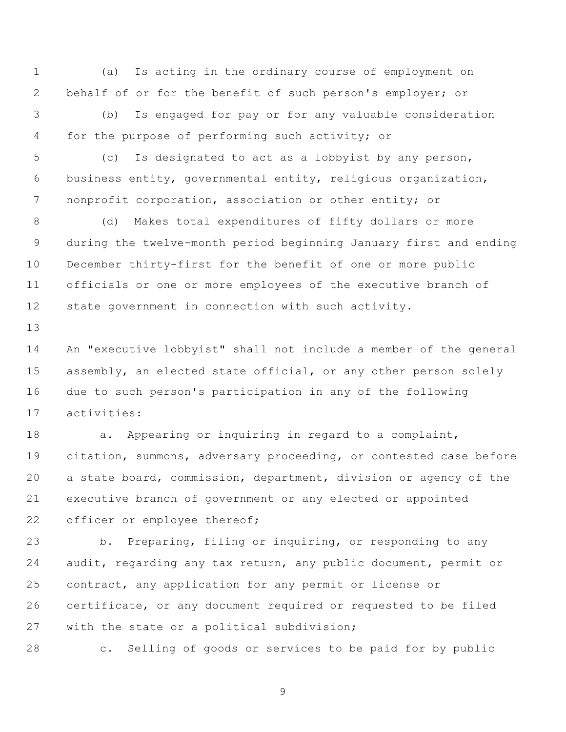(a) Is acting in the ordinary course of employment on behalf of or for the benefit of such person's employer; or

 (b) Is engaged for pay or for any valuable consideration for the purpose of performing such activity; or

 (c) Is designated to act as a lobbyist by any person, business entity, governmental entity, religious organization, nonprofit corporation, association or other entity; or

 (d) Makes total expenditures of fifty dollars or more during the twelve-month period beginning January first and ending December thirty-first for the benefit of one or more public officials or one or more employees of the executive branch of state government in connection with such activity.

 An "executive lobbyist" shall not include a member of the general 15 assembly, an elected state official, or any other person solely due to such person's participation in any of the following activities:

**a.** Appearing or inquiring in regard to a complaint, citation, summons, adversary proceeding, or contested case before a state board, commission, department, division or agency of the executive branch of government or any elected or appointed 22 officer or employee thereof;

 b. Preparing, filing or inquiring, or responding to any audit, regarding any tax return, any public document, permit or contract, any application for any permit or license or certificate, or any document required or requested to be filed 27 with the state or a political subdivision;

c. Selling of goods or services to be paid for by public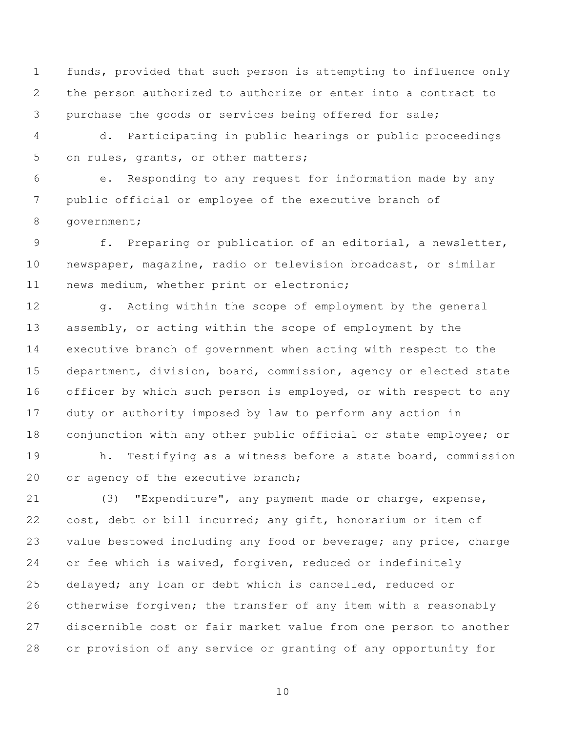funds, provided that such person is attempting to influence only the person authorized to authorize or enter into a contract to purchase the goods or services being offered for sale;

 d. Participating in public hearings or public proceedings on rules, grants, or other matters;

 e. Responding to any request for information made by any public official or employee of the executive branch of government;

 f. Preparing or publication of an editorial, a newsletter, newspaper, magazine, radio or television broadcast, or similar news medium, whether print or electronic;

12 g. Acting within the scope of employment by the general assembly, or acting within the scope of employment by the executive branch of government when acting with respect to the department, division, board, commission, agency or elected state 16 officer by which such person is employed, or with respect to any duty or authority imposed by law to perform any action in conjunction with any other public official or state employee; or

 h. Testifying as a witness before a state board, commission 20 or agency of the executive branch;

 (3) "Expenditure", any payment made or charge, expense, cost, debt or bill incurred; any gift, honorarium or item of value bestowed including any food or beverage; any price, charge or fee which is waived, forgiven, reduced or indefinitely delayed; any loan or debt which is cancelled, reduced or otherwise forgiven; the transfer of any item with a reasonably discernible cost or fair market value from one person to another or provision of any service or granting of any opportunity for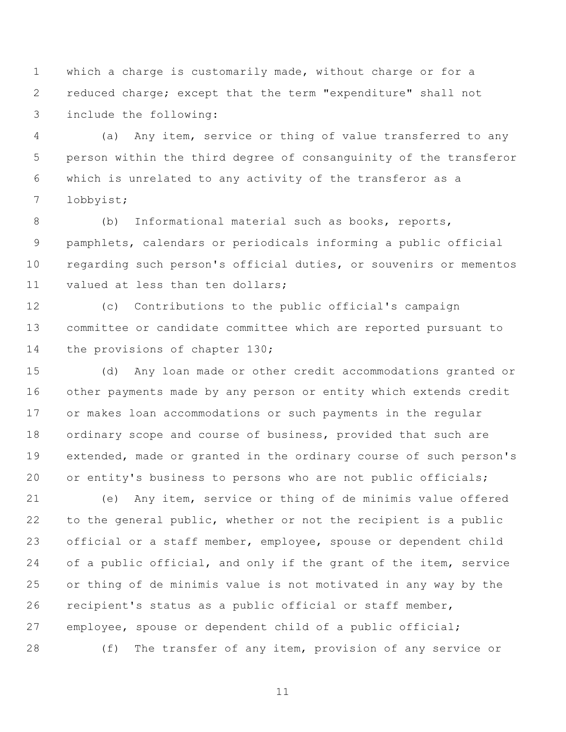which a charge is customarily made, without charge or for a reduced charge; except that the term "expenditure" shall not include the following:

 (a) Any item, service or thing of value transferred to any person within the third degree of consanguinity of the transferor which is unrelated to any activity of the transferor as a lobbyist;

 (b) Informational material such as books, reports, pamphlets, calendars or periodicals informing a public official regarding such person's official duties, or souvenirs or mementos valued at less than ten dollars;

 (c) Contributions to the public official's campaign committee or candidate committee which are reported pursuant to the provisions of chapter 130;

 (d) Any loan made or other credit accommodations granted or other payments made by any person or entity which extends credit or makes loan accommodations or such payments in the regular ordinary scope and course of business, provided that such are extended, made or granted in the ordinary course of such person's 20 or entity's business to persons who are not public officials;

 (e) Any item, service or thing of de minimis value offered to the general public, whether or not the recipient is a public official or a staff member, employee, spouse or dependent child 24 of a public official, and only if the grant of the item, service or thing of de minimis value is not motivated in any way by the recipient's status as a public official or staff member, employee, spouse or dependent child of a public official; (f) The transfer of any item, provision of any service or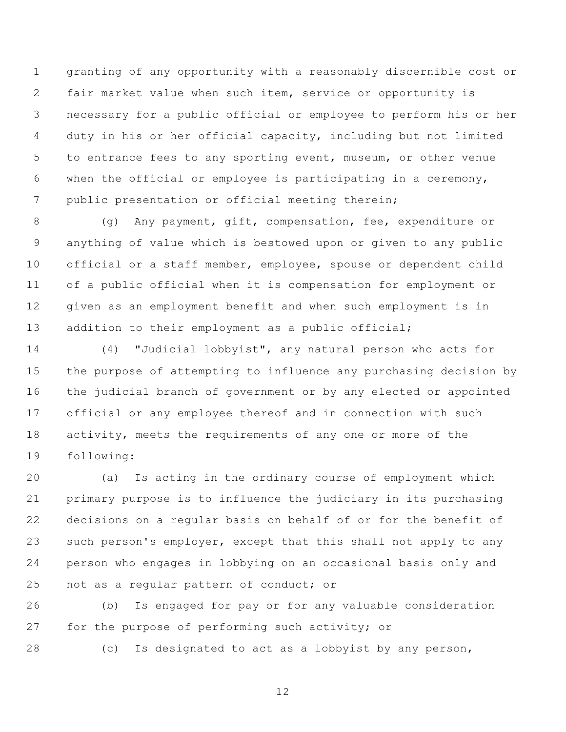granting of any opportunity with a reasonably discernible cost or fair market value when such item, service or opportunity is necessary for a public official or employee to perform his or her duty in his or her official capacity, including but not limited to entrance fees to any sporting event, museum, or other venue when the official or employee is participating in a ceremony, public presentation or official meeting therein;

 (g) Any payment, gift, compensation, fee, expenditure or anything of value which is bestowed upon or given to any public official or a staff member, employee, spouse or dependent child of a public official when it is compensation for employment or given as an employment benefit and when such employment is in addition to their employment as a public official;

 (4) "Judicial lobbyist", any natural person who acts for the purpose of attempting to influence any purchasing decision by the judicial branch of government or by any elected or appointed official or any employee thereof and in connection with such 18 activity, meets the requirements of any one or more of the following:

 (a) Is acting in the ordinary course of employment which primary purpose is to influence the judiciary in its purchasing decisions on a regular basis on behalf of or for the benefit of 23 such person's employer, except that this shall not apply to any person who engages in lobbying on an occasional basis only and not as a regular pattern of conduct; or

 (b) Is engaged for pay or for any valuable consideration 27 for the purpose of performing such activity; or

(c) Is designated to act as a lobbyist by any person,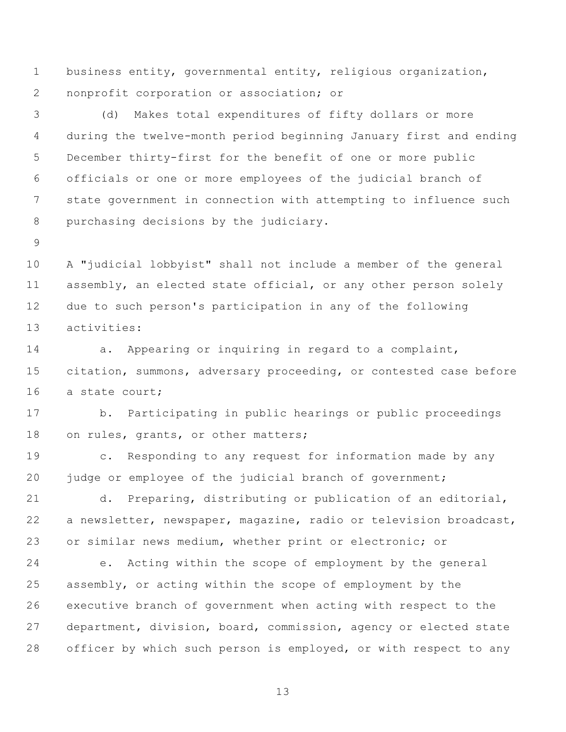business entity, governmental entity, religious organization, nonprofit corporation or association; or

 (d) Makes total expenditures of fifty dollars or more during the twelve-month period beginning January first and ending December thirty-first for the benefit of one or more public officials or one or more employees of the judicial branch of state government in connection with attempting to influence such purchasing decisions by the judiciary.

 A "judicial lobbyist" shall not include a member of the general assembly, an elected state official, or any other person solely due to such person's participation in any of the following activities:

**a.** Appearing or inquiring in regard to a complaint, citation, summons, adversary proceeding, or contested case before a state court;

 b. Participating in public hearings or public proceedings 18 on rules, grants, or other matters;

 c. Responding to any request for information made by any 20 judge or employee of the judicial branch of government;

 d. Preparing, distributing or publication of an editorial, a newsletter, newspaper, magazine, radio or television broadcast, or similar news medium, whether print or electronic; or

 e. Acting within the scope of employment by the general assembly, or acting within the scope of employment by the executive branch of government when acting with respect to the department, division, board, commission, agency or elected state officer by which such person is employed, or with respect to any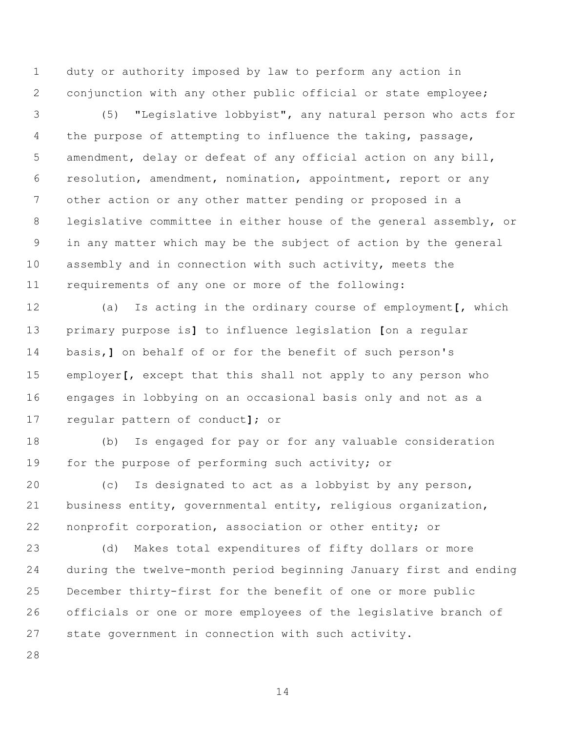duty or authority imposed by law to perform any action in conjunction with any other public official or state employee;

 (5) "Legislative lobbyist", any natural person who acts for 4 the purpose of attempting to influence the taking, passage, amendment, delay or defeat of any official action on any bill, resolution, amendment, nomination, appointment, report or any other action or any other matter pending or proposed in a legislative committee in either house of the general assembly, or in any matter which may be the subject of action by the general assembly and in connection with such activity, meets the requirements of any one or more of the following:

 (a) Is acting in the ordinary course of employment**[**, which primary purpose is**]** to influence legislation **[**on a regular basis,**]** on behalf of or for the benefit of such person's employer**[**, except that this shall not apply to any person who engages in lobbying on an occasional basis only and not as a regular pattern of conduct**]**; or

 (b) Is engaged for pay or for any valuable consideration for the purpose of performing such activity; or

 (c) Is designated to act as a lobbyist by any person, business entity, governmental entity, religious organization, nonprofit corporation, association or other entity; or

 (d) Makes total expenditures of fifty dollars or more during the twelve-month period beginning January first and ending December thirty-first for the benefit of one or more public officials or one or more employees of the legislative branch of state government in connection with such activity.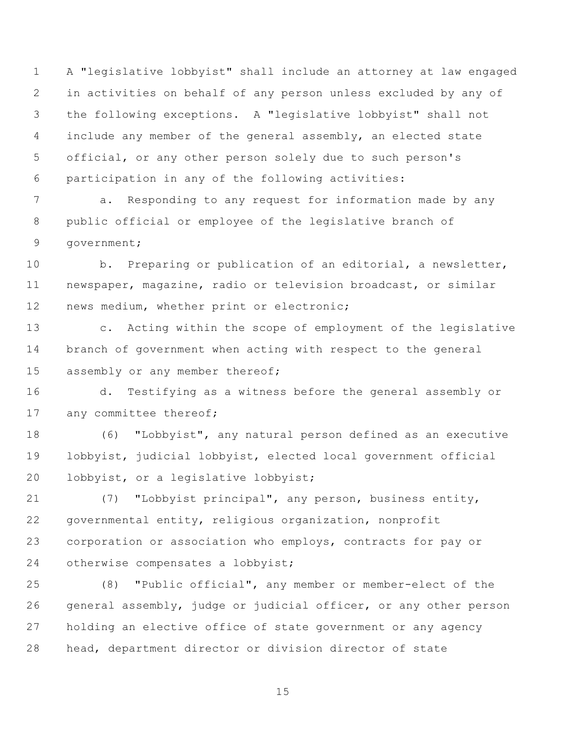A "legislative lobbyist" shall include an attorney at law engaged in activities on behalf of any person unless excluded by any of the following exceptions. A "legislative lobbyist" shall not include any member of the general assembly, an elected state official, or any other person solely due to such person's participation in any of the following activities:

 a. Responding to any request for information made by any public official or employee of the legislative branch of government;

 b. Preparing or publication of an editorial, a newsletter, newspaper, magazine, radio or television broadcast, or similar 12 news medium, whether print or electronic;

 c. Acting within the scope of employment of the legislative branch of government when acting with respect to the general 15 assembly or any member thereof;

 d. Testifying as a witness before the general assembly or 17 any committee thereof;

 (6) "Lobbyist", any natural person defined as an executive lobbyist, judicial lobbyist, elected local government official lobbyist, or a legislative lobbyist;

 (7) "Lobbyist principal", any person, business entity, governmental entity, religious organization, nonprofit corporation or association who employs, contracts for pay or otherwise compensates a lobbyist;

 (8) "Public official", any member or member-elect of the general assembly, judge or judicial officer, or any other person holding an elective office of state government or any agency head, department director or division director of state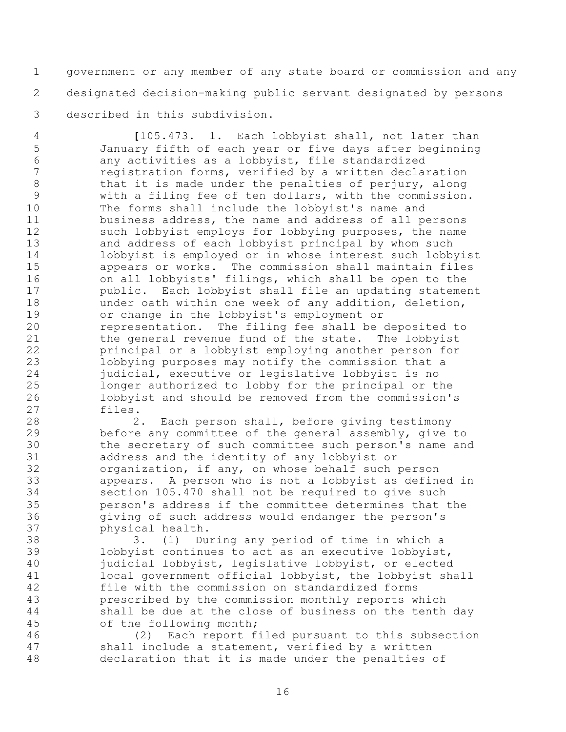government or any member of any state board or commission and any designated decision-making public servant designated by persons described in this subdivision.

 **[**105.473. 1. Each lobbyist shall, not later than January fifth of each year or five days after beginning any activities as a lobbyist, file standardized registration forms, verified by a written declaration 8 that it is made under the penalties of perjury, along with a filing fee of ten dollars, with the commission. The forms shall include the lobbyist's name and business address, the name and address of all persons 12 such lobbyist employs for lobbying purposes, the name and address of each lobbyist principal by whom such lobbyist is employed or in whose interest such lobbyist appears or works. The commission shall maintain files on all lobbyists' filings, which shall be open to the public. Each lobbyist shall file an updating statement under oath within one week of any addition, deletion, or change in the lobbyist's employment or representation. The filing fee shall be deposited to 21 the general revenue fund of the state. The lobbyist principal or a lobbyist employing another person for lobbying purposes may notify the commission that a judicial, executive or legislative lobbyist is no longer authorized to lobby for the principal or the lobbyist and should be removed from the commission's files.

 2. Each person shall, before giving testimony before any committee of the general assembly, give to the secretary of such committee such person's name and address and the identity of any lobbyist or organization, if any, on whose behalf such person appears. A person who is not a lobbyist as defined in section 105.470 shall not be required to give such person's address if the committee determines that the giving of such address would endanger the person's physical health.

 3. (1) During any period of time in which a lobbyist continues to act as an executive lobbyist, judicial lobbyist, legislative lobbyist, or elected local government official lobbyist, the lobbyist shall file with the commission on standardized forms prescribed by the commission monthly reports which shall be due at the close of business on the tenth day of the following month;

 (2) Each report filed pursuant to this subsection shall include a statement, verified by a written declaration that it is made under the penalties of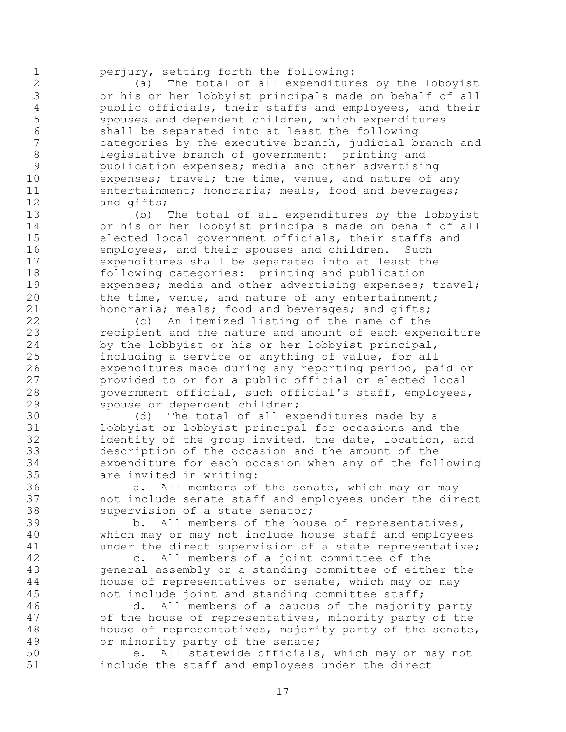perjury, setting forth the following:

 (a) The total of all expenditures by the lobbyist or his or her lobbyist principals made on behalf of all 4 public officials, their staffs and employees, and their<br>5 spouses and dependent children, which expenditures spouses and dependent children, which expenditures shall be separated into at least the following categories by the executive branch, judicial branch and legislative branch of government: printing and publication expenses; media and other advertising 10 expenses; travel; the time, venue, and nature of any 11 entertainment; honoraria; meals, food and beverages; and gifts;

 (b) The total of all expenditures by the lobbyist or his or her lobbyist principals made on behalf of all elected local government officials, their staffs and employees, and their spouses and children. Such expenditures shall be separated into at least the following categories: printing and publication 19 expenses; media and other advertising expenses; travel; the time, venue, and nature of any entertainment; honoraria; meals; food and beverages; and gifts;

 (c) An itemized listing of the name of the recipient and the nature and amount of each expenditure by the lobbyist or his or her lobbyist principal, including a service or anything of value, for all expenditures made during any reporting period, paid or provided to or for a public official or elected local government official, such official's staff, employees, spouse or dependent children;

 (d) The total of all expenditures made by a lobbyist or lobbyist principal for occasions and the identity of the group invited, the date, location, and description of the occasion and the amount of the expenditure for each occasion when any of the following are invited in writing:

 a. All members of the senate, which may or may not include senate staff and employees under the direct supervision of a state senator;

 b. All members of the house of representatives, which may or may not include house staff and employees under the direct supervision of a state representative;

 c. All members of a joint committee of the general assembly or a standing committee of either the house of representatives or senate, which may or may not include joint and standing committee staff;

 d. All members of a caucus of the majority party of the house of representatives, minority party of the house of representatives, majority party of the senate, or minority party of the senate;

 e. All statewide officials, which may or may not include the staff and employees under the direct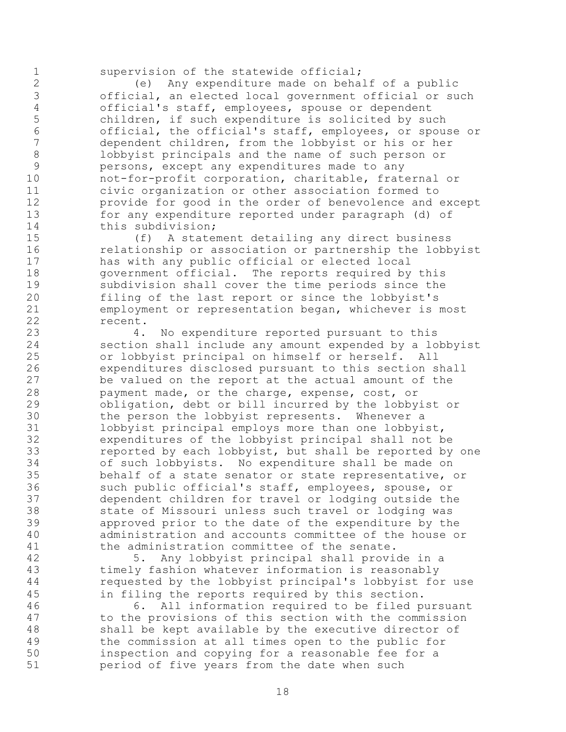supervision of the statewide official;

 (e) Any expenditure made on behalf of a public official, an elected local government official or such official's staff, employees, spouse or dependent children, if such expenditure is solicited by such official, the official's staff, employees, or spouse or dependent children, from the lobbyist or his or her lobbyist principals and the name of such person or persons, except any expenditures made to any not-for-profit corporation, charitable, fraternal or civic organization or other association formed to provide for good in the order of benevolence and except for any expenditure reported under paragraph (d) of this subdivision;

 (f) A statement detailing any direct business relationship or association or partnership the lobbyist has with any public official or elected local government official. The reports required by this subdivision shall cover the time periods since the filing of the last report or since the lobbyist's employment or representation began, whichever is most recent.

 4. No expenditure reported pursuant to this section shall include any amount expended by a lobbyist or lobbyist principal on himself or herself. All expenditures disclosed pursuant to this section shall be valued on the report at the actual amount of the payment made, or the charge, expense, cost, or obligation, debt or bill incurred by the lobbyist or the person the lobbyist represents. Whenever a lobbyist principal employs more than one lobbyist, expenditures of the lobbyist principal shall not be reported by each lobbyist, but shall be reported by one of such lobbyists. No expenditure shall be made on behalf of a state senator or state representative, or such public official's staff, employees, spouse, or dependent children for travel or lodging outside the 38 state of Missouri unless such travel or lodging was<br>39 sapproved prior to the date of the expenditure by th approved prior to the date of the expenditure by the administration and accounts committee of the house or the administration committee of the senate.

 5. Any lobbyist principal shall provide in a timely fashion whatever information is reasonably requested by the lobbyist principal's lobbyist for use in filing the reports required by this section.

 6. All information required to be filed pursuant to the provisions of this section with the commission shall be kept available by the executive director of the commission at all times open to the public for inspection and copying for a reasonable fee for a period of five years from the date when such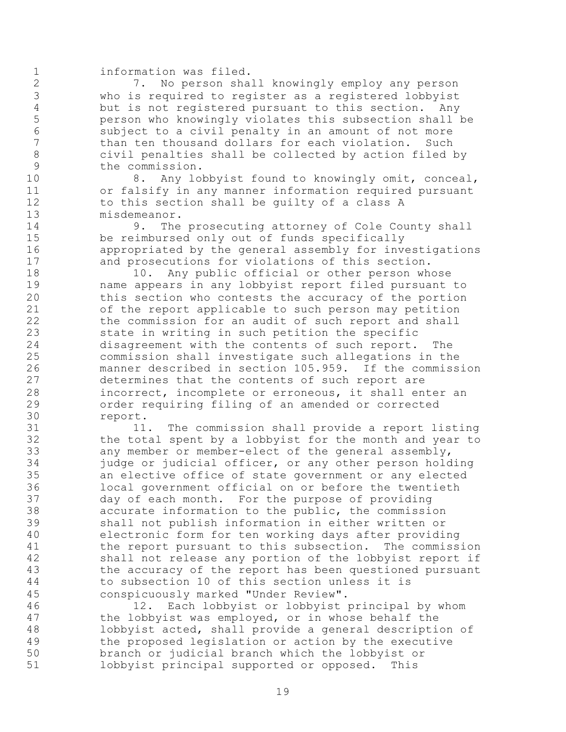information was filed.

 7. No person shall knowingly employ any person who is required to register as a registered lobbyist 4 but is not registered pursuant to this section. Any<br>5 berson who knowingly violates this subsection shall person who knowingly violates this subsection shall be subject to a civil penalty in an amount of not more than ten thousand dollars for each violation. Such civil penalties shall be collected by action filed by the commission.

10 8. Any lobbyist found to knowingly omit, conceal, or falsify in any manner information required pursuant to this section shall be guilty of a class A misdemeanor.

14 9. The prosecuting attorney of Cole County shall be reimbursed only out of funds specifically appropriated by the general assembly for investigations and prosecutions for violations of this section.

18 10. Any public official or other person whose name appears in any lobbyist report filed pursuant to this section who contests the accuracy of the portion of the report applicable to such person may petition 22 the commission for an audit of such report and shall state in writing in such petition the specific disagreement with the contents of such report. The commission shall investigate such allegations in the manner described in section 105.959. If the commission determines that the contents of such report are incorrect, incomplete or erroneous, it shall enter an order requiring filing of an amended or corrected report.

 11. The commission shall provide a report listing the total spent by a lobbyist for the month and year to any member or member-elect of the general assembly, judge or judicial officer, or any other person holding an elective office of state government or any elected local government official on or before the twentieth day of each month. For the purpose of providing 38 accurate information to the public, the commission<br>39 shall not publish information in either written or shall not publish information in either written or electronic form for ten working days after providing the report pursuant to this subsection. The commission shall not release any portion of the lobbyist report if the accuracy of the report has been questioned pursuant to subsection 10 of this section unless it is conspicuously marked "Under Review".

 12. Each lobbyist or lobbyist principal by whom the lobbyist was employed, or in whose behalf the lobbyist acted, shall provide a general description of the proposed legislation or action by the executive branch or judicial branch which the lobbyist or lobbyist principal supported or opposed. This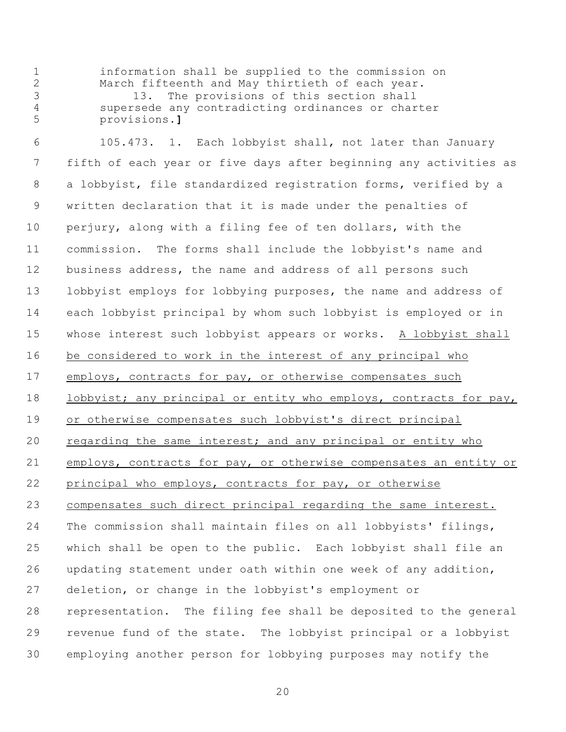information shall be supplied to the commission on March fifteenth and May thirtieth of each year. 13. The provisions of this section shall supersede any contradicting ordinances or charter provisions.**]**

 105.473. 1. Each lobbyist shall, not later than January fifth of each year or five days after beginning any activities as a lobbyist, file standardized registration forms, verified by a written declaration that it is made under the penalties of perjury, along with a filing fee of ten dollars, with the commission. The forms shall include the lobbyist's name and 12 business address, the name and address of all persons such lobbyist employs for lobbying purposes, the name and address of each lobbyist principal by whom such lobbyist is employed or in whose interest such lobbyist appears or works. A lobbyist shall be considered to work in the interest of any principal who employs, contracts for pay, or otherwise compensates such 18 lobbyist; any principal or entity who employs, contracts for pay, or otherwise compensates such lobbyist's direct principal regarding the same interest; and any principal or entity who employs, contracts for pay, or otherwise compensates an entity or principal who employs, contracts for pay, or otherwise compensates such direct principal regarding the same interest. The commission shall maintain files on all lobbyists' filings, which shall be open to the public. Each lobbyist shall file an updating statement under oath within one week of any addition, deletion, or change in the lobbyist's employment or representation. The filing fee shall be deposited to the general revenue fund of the state. The lobbyist principal or a lobbyist employing another person for lobbying purposes may notify the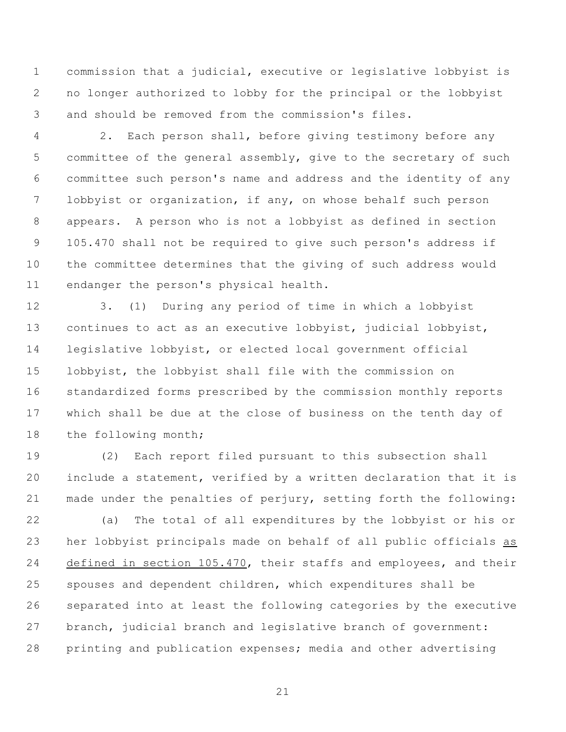commission that a judicial, executive or legislative lobbyist is no longer authorized to lobby for the principal or the lobbyist and should be removed from the commission's files.

 2. Each person shall, before giving testimony before any committee of the general assembly, give to the secretary of such committee such person's name and address and the identity of any lobbyist or organization, if any, on whose behalf such person appears. A person who is not a lobbyist as defined in section 105.470 shall not be required to give such person's address if the committee determines that the giving of such address would endanger the person's physical health.

 3. (1) During any period of time in which a lobbyist continues to act as an executive lobbyist, judicial lobbyist, legislative lobbyist, or elected local government official lobbyist, the lobbyist shall file with the commission on standardized forms prescribed by the commission monthly reports which shall be due at the close of business on the tenth day of the following month;

 (2) Each report filed pursuant to this subsection shall include a statement, verified by a written declaration that it is made under the penalties of perjury, setting forth the following:

 (a) The total of all expenditures by the lobbyist or his or her lobbyist principals made on behalf of all public officials as defined in section 105.470, their staffs and employees, and their spouses and dependent children, which expenditures shall be separated into at least the following categories by the executive branch, judicial branch and legislative branch of government: printing and publication expenses; media and other advertising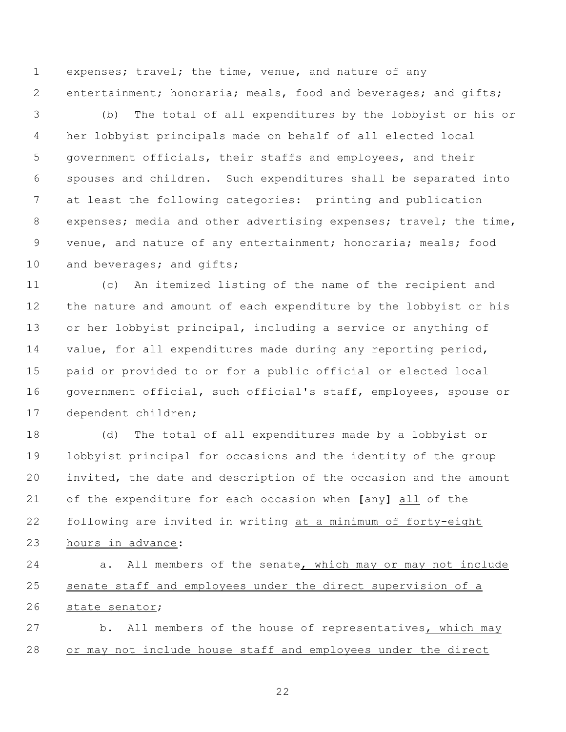expenses; travel; the time, venue, and nature of any entertainment; honoraria; meals, food and beverages; and gifts;

 (b) The total of all expenditures by the lobbyist or his or her lobbyist principals made on behalf of all elected local government officials, their staffs and employees, and their spouses and children. Such expenditures shall be separated into at least the following categories: printing and publication 8 expenses; media and other advertising expenses; travel; the time, venue, and nature of any entertainment; honoraria; meals; food 10 and beverages; and gifts;

 (c) An itemized listing of the name of the recipient and the nature and amount of each expenditure by the lobbyist or his or her lobbyist principal, including a service or anything of value, for all expenditures made during any reporting period, paid or provided to or for a public official or elected local 16 government official, such official's staff, employees, spouse or dependent children;

 (d) The total of all expenditures made by a lobbyist or lobbyist principal for occasions and the identity of the group invited, the date and description of the occasion and the amount of the expenditure for each occasion when **[**any**]** all of the following are invited in writing at a minimum of forty-eight hours in advance:

 a. All members of the senate, which may or may not include senate staff and employees under the direct supervision of a state senator;

 b. All members of the house of representatives, which may or may not include house staff and employees under the direct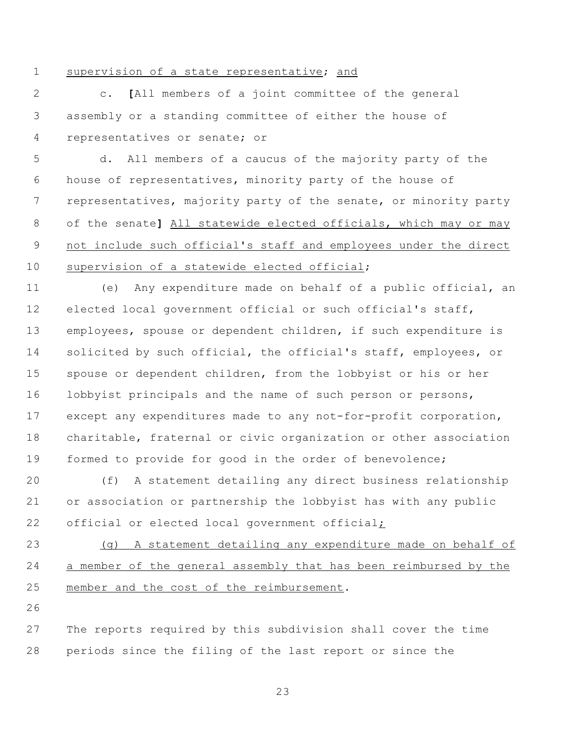## supervision of a state representative; and

 c. **[**All members of a joint committee of the general assembly or a standing committee of either the house of representatives or senate; or

 d. All members of a caucus of the majority party of the house of representatives, minority party of the house of representatives, majority party of the senate, or minority party of the senate**]** All statewide elected officials, which may or may not include such official's staff and employees under the direct supervision of a statewide elected official;

 (e) Any expenditure made on behalf of a public official, an elected local government official or such official's staff, employees, spouse or dependent children, if such expenditure is 14 solicited by such official, the official's staff, employees, or spouse or dependent children, from the lobbyist or his or her 16 lobbyist principals and the name of such person or persons, except any expenditures made to any not-for-profit corporation, charitable, fraternal or civic organization or other association formed to provide for good in the order of benevolence;

 (f) A statement detailing any direct business relationship or association or partnership the lobbyist has with any public 22 official or elected local government official;

 (g) A statement detailing any expenditure made on behalf of a member of the general assembly that has been reimbursed by the member and the cost of the reimbursement.

 The reports required by this subdivision shall cover the time periods since the filing of the last report or since the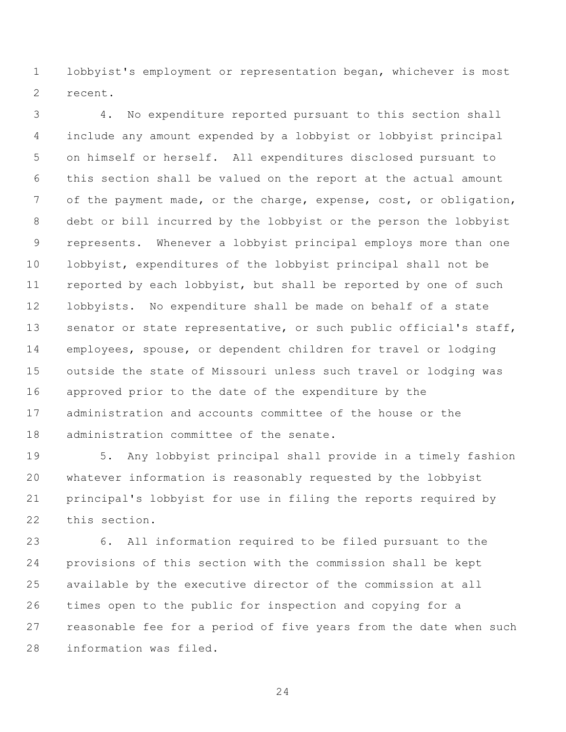lobbyist's employment or representation began, whichever is most recent.

 4. No expenditure reported pursuant to this section shall include any amount expended by a lobbyist or lobbyist principal on himself or herself. All expenditures disclosed pursuant to this section shall be valued on the report at the actual amount 7 of the payment made, or the charge, expense, cost, or obligation, debt or bill incurred by the lobbyist or the person the lobbyist represents. Whenever a lobbyist principal employs more than one lobbyist, expenditures of the lobbyist principal shall not be 11 reported by each lobbyist, but shall be reported by one of such lobbyists. No expenditure shall be made on behalf of a state 13 senator or state representative, or such public official's staff, employees, spouse, or dependent children for travel or lodging outside the state of Missouri unless such travel or lodging was approved prior to the date of the expenditure by the administration and accounts committee of the house or the administration committee of the senate.

 5. Any lobbyist principal shall provide in a timely fashion whatever information is reasonably requested by the lobbyist principal's lobbyist for use in filing the reports required by this section.

 6. All information required to be filed pursuant to the provisions of this section with the commission shall be kept available by the executive director of the commission at all times open to the public for inspection and copying for a reasonable fee for a period of five years from the date when such information was filed.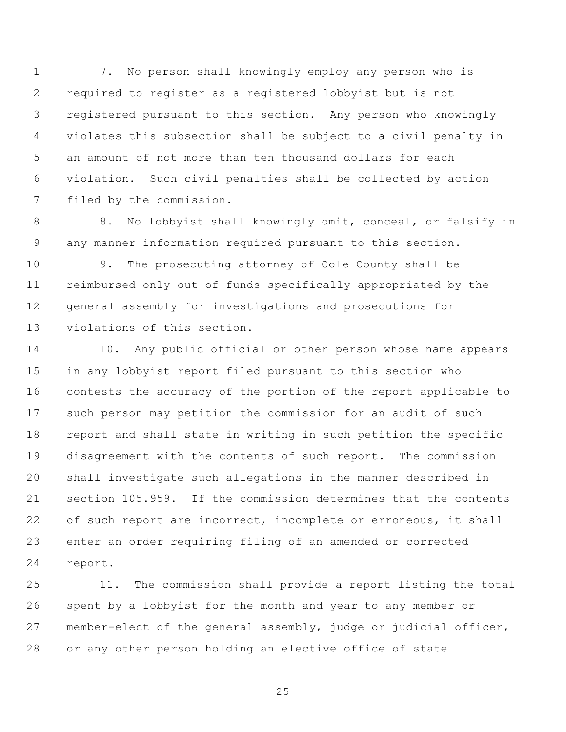7. No person shall knowingly employ any person who is required to register as a registered lobbyist but is not registered pursuant to this section. Any person who knowingly violates this subsection shall be subject to a civil penalty in an amount of not more than ten thousand dollars for each violation. Such civil penalties shall be collected by action filed by the commission.

 8. No lobbyist shall knowingly omit, conceal, or falsify in any manner information required pursuant to this section.

 9. The prosecuting attorney of Cole County shall be reimbursed only out of funds specifically appropriated by the general assembly for investigations and prosecutions for violations of this section.

14 10. Any public official or other person whose name appears in any lobbyist report filed pursuant to this section who contests the accuracy of the portion of the report applicable to such person may petition the commission for an audit of such report and shall state in writing in such petition the specific disagreement with the contents of such report. The commission shall investigate such allegations in the manner described in section 105.959. If the commission determines that the contents 22 of such report are incorrect, incomplete or erroneous, it shall enter an order requiring filing of an amended or corrected report.

 11. The commission shall provide a report listing the total spent by a lobbyist for the month and year to any member or member-elect of the general assembly, judge or judicial officer, or any other person holding an elective office of state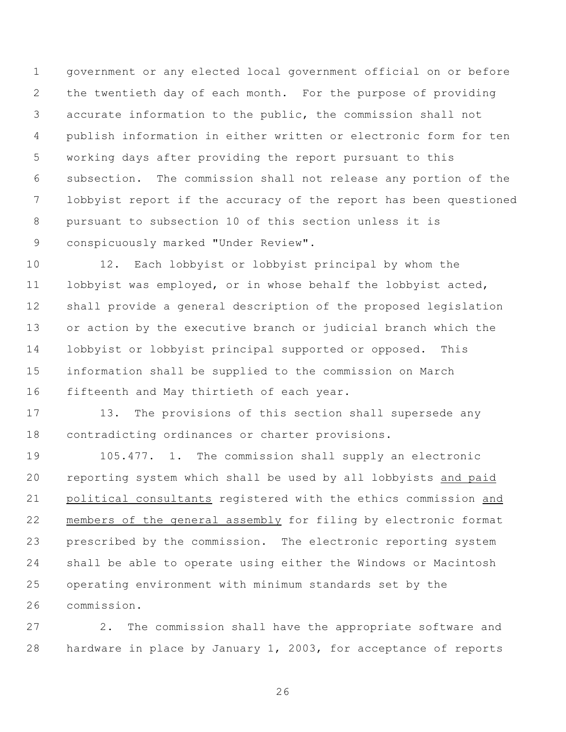government or any elected local government official on or before the twentieth day of each month. For the purpose of providing accurate information to the public, the commission shall not publish information in either written or electronic form for ten working days after providing the report pursuant to this subsection. The commission shall not release any portion of the lobbyist report if the accuracy of the report has been questioned pursuant to subsection 10 of this section unless it is conspicuously marked "Under Review".

 12. Each lobbyist or lobbyist principal by whom the lobbyist was employed, or in whose behalf the lobbyist acted, shall provide a general description of the proposed legislation or action by the executive branch or judicial branch which the lobbyist or lobbyist principal supported or opposed. This information shall be supplied to the commission on March fifteenth and May thirtieth of each year.

17 13. The provisions of this section shall supersede any contradicting ordinances or charter provisions.

 105.477. 1. The commission shall supply an electronic reporting system which shall be used by all lobbyists and paid political consultants registered with the ethics commission and members of the general assembly for filing by electronic format prescribed by the commission. The electronic reporting system shall be able to operate using either the Windows or Macintosh operating environment with minimum standards set by the commission.

 2. The commission shall have the appropriate software and hardware in place by January 1, 2003, for acceptance of reports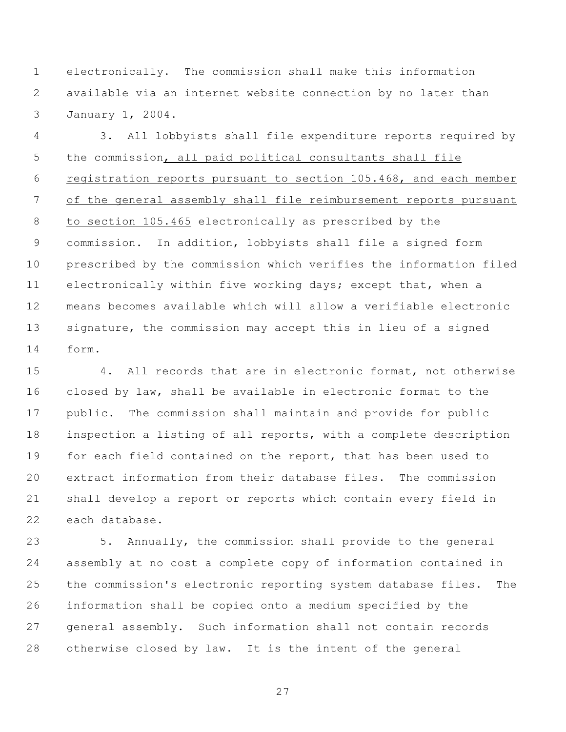electronically. The commission shall make this information available via an internet website connection by no later than January 1, 2004.

 3. All lobbyists shall file expenditure reports required by the commission, all paid political consultants shall file registration reports pursuant to section 105.468, and each member of the general assembly shall file reimbursement reports pursuant to section 105.465 electronically as prescribed by the commission. In addition, lobbyists shall file a signed form prescribed by the commission which verifies the information filed electronically within five working days; except that, when a means becomes available which will allow a verifiable electronic signature, the commission may accept this in lieu of a signed form.

 4. All records that are in electronic format, not otherwise closed by law, shall be available in electronic format to the public. The commission shall maintain and provide for public inspection a listing of all reports, with a complete description for each field contained on the report, that has been used to extract information from their database files. The commission shall develop a report or reports which contain every field in each database.

 5. Annually, the commission shall provide to the general assembly at no cost a complete copy of information contained in the commission's electronic reporting system database files. The information shall be copied onto a medium specified by the general assembly. Such information shall not contain records otherwise closed by law. It is the intent of the general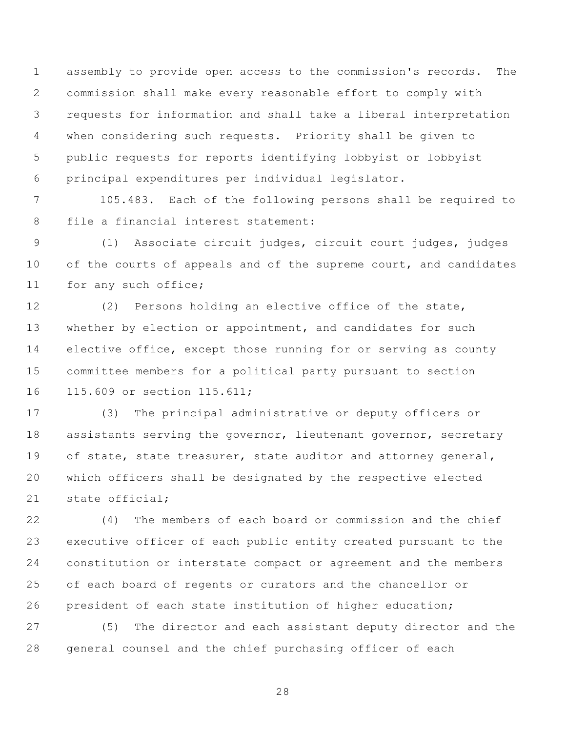assembly to provide open access to the commission's records. The commission shall make every reasonable effort to comply with requests for information and shall take a liberal interpretation when considering such requests. Priority shall be given to public requests for reports identifying lobbyist or lobbyist principal expenditures per individual legislator.

 105.483. Each of the following persons shall be required to file a financial interest statement:

 (1) Associate circuit judges, circuit court judges, judges 10 of the courts of appeals and of the supreme court, and candidates for any such office;

 (2) Persons holding an elective office of the state, 13 whether by election or appointment, and candidates for such elective office, except those running for or serving as county committee members for a political party pursuant to section 115.609 or section 115.611;

 (3) The principal administrative or deputy officers or 18 assistants serving the governor, lieutenant governor, secretary 19 of state, state treasurer, state auditor and attorney general, which officers shall be designated by the respective elected state official;

 (4) The members of each board or commission and the chief executive officer of each public entity created pursuant to the constitution or interstate compact or agreement and the members of each board of regents or curators and the chancellor or president of each state institution of higher education;

 (5) The director and each assistant deputy director and the general counsel and the chief purchasing officer of each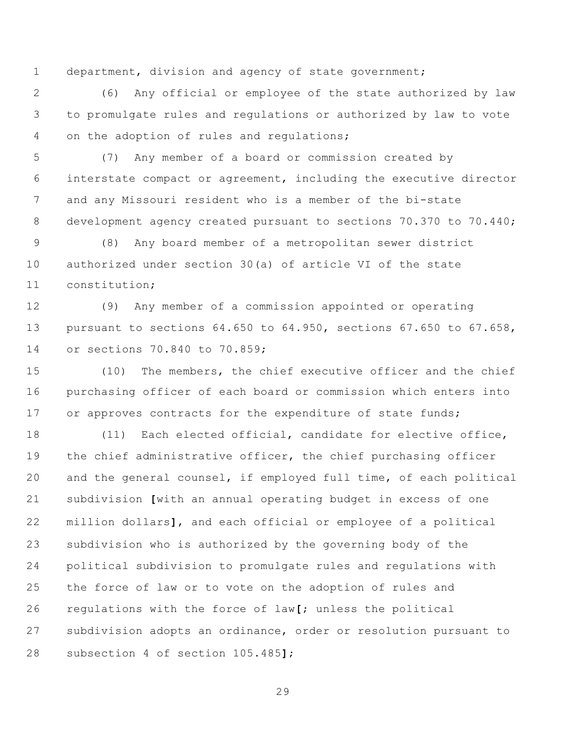department, division and agency of state government;

 (6) Any official or employee of the state authorized by law to promulgate rules and regulations or authorized by law to vote on the adoption of rules and regulations;

 (7) Any member of a board or commission created by interstate compact or agreement, including the executive director and any Missouri resident who is a member of the bi-state development agency created pursuant to sections 70.370 to 70.440;

 (8) Any board member of a metropolitan sewer district authorized under section 30(a) of article VI of the state constitution;

 (9) Any member of a commission appointed or operating pursuant to sections 64.650 to 64.950, sections 67.650 to 67.658, or sections 70.840 to 70.859;

 (10) The members, the chief executive officer and the chief purchasing officer of each board or commission which enters into 17 or approves contracts for the expenditure of state funds;

 (11) Each elected official, candidate for elective office, the chief administrative officer, the chief purchasing officer and the general counsel, if employed full time, of each political subdivision **[**with an annual operating budget in excess of one million dollars**]**, and each official or employee of a political subdivision who is authorized by the governing body of the political subdivision to promulgate rules and regulations with the force of law or to vote on the adoption of rules and regulations with the force of law**[**; unless the political subdivision adopts an ordinance, order or resolution pursuant to subsection 4 of section 105.485**]**;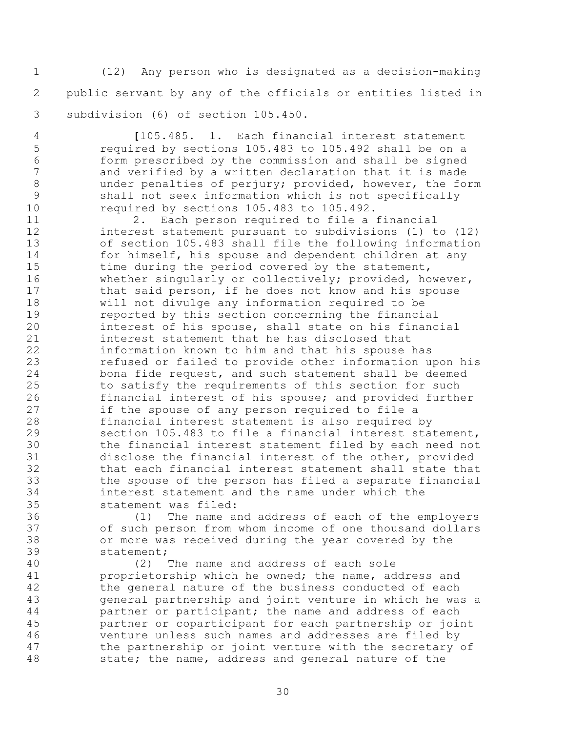(12) Any person who is designated as a decision-making public servant by any of the officials or entities listed in subdivision (6) of section 105.450.

 **[**105.485. 1. Each financial interest statement required by sections 105.483 to 105.492 shall be on a form prescribed by the commission and shall be signed and verified by a written declaration that it is made 8 under penalties of perjury; provided, however, the form shall not seek information which is not specifically required by sections 105.483 to 105.492.

 2. Each person required to file a financial interest statement pursuant to subdivisions (1) to (12) of section 105.483 shall file the following information for himself, his spouse and dependent children at any 15 time during the period covered by the statement, whether singularly or collectively; provided, however, 17 that said person, if he does not know and his spouse will not divulge any information required to be reported by this section concerning the financial interest of his spouse, shall state on his financial interest statement that he has disclosed that information known to him and that his spouse has refused or failed to provide other information upon his bona fide request, and such statement shall be deemed to satisfy the requirements of this section for such financial interest of his spouse; and provided further if the spouse of any person required to file a financial interest statement is also required by section 105.483 to file a financial interest statement, the financial interest statement filed by each need not disclose the financial interest of the other, provided that each financial interest statement shall state that the spouse of the person has filed a separate financial interest statement and the name under which the statement was filed:

 (1) The name and address of each of the employers of such person from whom income of one thousand dollars or more was received during the year covered by the statement;

 (2) The name and address of each sole proprietorship which he owned; the name, address and the general nature of the business conducted of each general partnership and joint venture in which he was a **partner or participant; the name and address of each**  partner or coparticipant for each partnership or joint venture unless such names and addresses are filed by the partnership or joint venture with the secretary of state; the name, address and general nature of the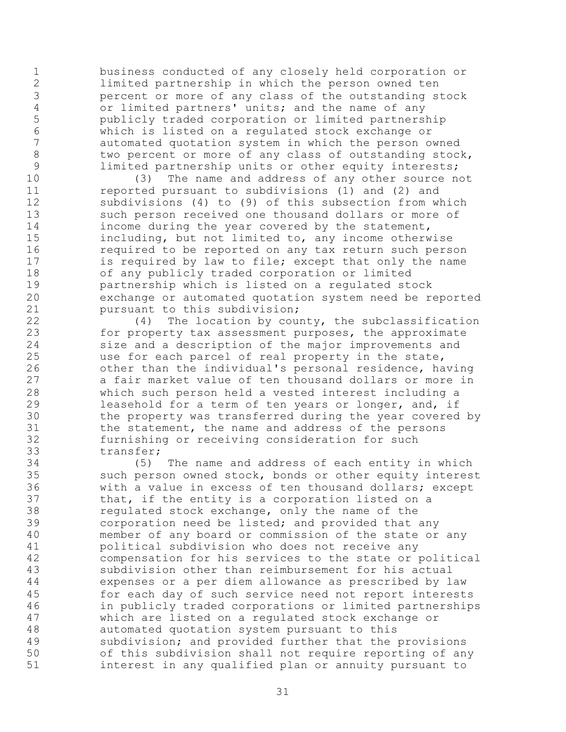business conducted of any closely held corporation or limited partnership in which the person owned ten percent or more of any class of the outstanding stock 4 or limited partners' units; and the name of any<br>5 bublicly traded corporation or limited partners publicly traded corporation or limited partnership which is listed on a regulated stock exchange or automated quotation system in which the person owned 8 two percent or more of any class of outstanding stock, limited partnership units or other equity interests;

 (3) The name and address of any other source not **11** reported pursuant to subdivisions (1) and (2) and subdivisions (4) to (9) of this subsection from which such person received one thousand dollars or more of income during the year covered by the statement, including, but not limited to, any income otherwise required to be reported on any tax return such person 17 is required by law to file; except that only the name of any publicly traded corporation or limited partnership which is listed on a regulated stock exchange or automated quotation system need be reported pursuant to this subdivision;

 (4) The location by county, the subclassification for property tax assessment purposes, the approximate size and a description of the major improvements and use for each parcel of real property in the state, other than the individual's personal residence, having a fair market value of ten thousand dollars or more in which such person held a vested interest including a leasehold for a term of ten years or longer, and, if the property was transferred during the year covered by the statement, the name and address of the persons furnishing or receiving consideration for such transfer;

 (5) The name and address of each entity in which such person owned stock, bonds or other equity interest with a value in excess of ten thousand dollars; except that, if the entity is a corporation listed on a regulated stock exchange, only the name of the corporation need be listed; and provided that any member of any board or commission of the state or any political subdivision who does not receive any compensation for his services to the state or political subdivision other than reimbursement for his actual expenses or a per diem allowance as prescribed by law for each day of such service need not report interests in publicly traded corporations or limited partnerships which are listed on a regulated stock exchange or automated quotation system pursuant to this subdivision; and provided further that the provisions of this subdivision shall not require reporting of any interest in any qualified plan or annuity pursuant to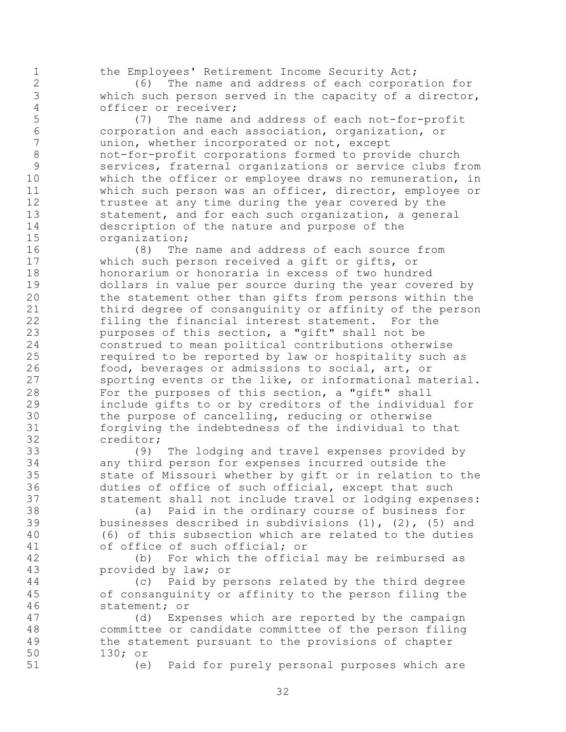the Employees' Retirement Income Security Act;

 (6) The name and address of each corporation for which such person served in the capacity of a director, officer or receiver;

 (7) The name and address of each not-for-profit corporation and each association, organization, or union, whether incorporated or not, except not-for-profit corporations formed to provide church services, fraternal organizations or service clubs from which the officer or employee draws no remuneration, in which such person was an officer, director, employee or 12 trustee at any time during the year covered by the statement, and for each such organization, a general description of the nature and purpose of the organization;

 (8) The name and address of each source from which such person received a gift or gifts, or honorarium or honoraria in excess of two hundred dollars in value per source during the year covered by the statement other than gifts from persons within the third degree of consanguinity or affinity of the person filing the financial interest statement. For the purposes of this section, a "gift" shall not be construed to mean political contributions otherwise required to be reported by law or hospitality such as food, beverages or admissions to social, art, or sporting events or the like, or informational material. For the purposes of this section, a "gift" shall include gifts to or by creditors of the individual for the purpose of cancelling, reducing or otherwise forgiving the indebtedness of the individual to that creditor;

 (9) The lodging and travel expenses provided by any third person for expenses incurred outside the state of Missouri whether by gift or in relation to the duties of office of such official, except that such statement shall not include travel or lodging expenses:

 (a) Paid in the ordinary course of business for businesses described in subdivisions (1), (2), (5) and (6) of this subsection which are related to the duties of office of such official; or

 (b) For which the official may be reimbursed as provided by law; or

 (c) Paid by persons related by the third degree of consanguinity or affinity to the person filing the statement; or

 (d) Expenses which are reported by the campaign committee or candidate committee of the person filing the statement pursuant to the provisions of chapter 130; or

(e) Paid for purely personal purposes which are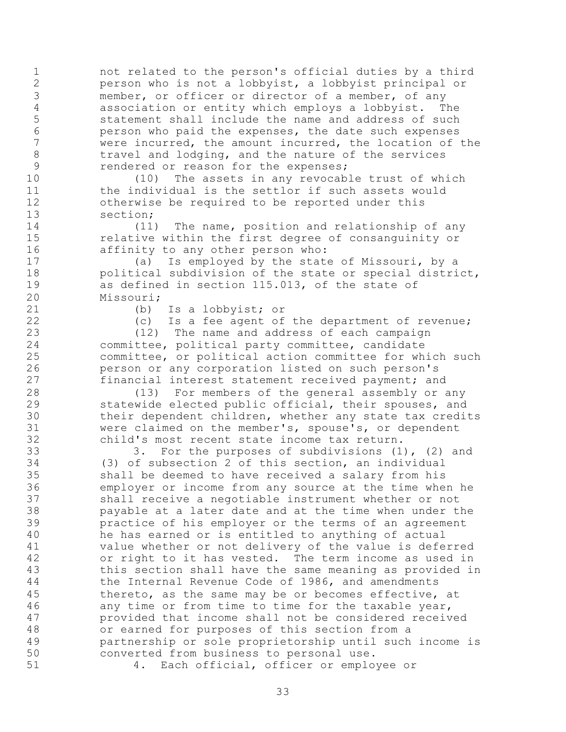not related to the person's official duties by a third person who is not a lobbyist, a lobbyist principal or member, or officer or director of a member, of any association or entity which employs a lobbyist. The statement shall include the name and address of such 6 berson who paid the expenses, the date such expenses<br>7 were incurred, the amount incurred, the location of were incurred, the amount incurred, the location of the 8 travel and lodging, and the nature of the services rendered or reason for the expenses;

 (10) The assets in any revocable trust of which 11 the individual is the settlor if such assets would otherwise be required to be reported under this section;

 (11) The name, position and relationship of any relative within the first degree of consanguinity or affinity to any other person who:

 (a) Is employed by the state of Missouri, by a political subdivision of the state or special district, as defined in section 115.013, of the state of Missouri;

(b) Is a lobbyist; or

(c) Is a fee agent of the department of revenue;

 (12) The name and address of each campaign committee, political party committee, candidate committee, or political action committee for which such person or any corporation listed on such person's financial interest statement received payment; and

 (13) For members of the general assembly or any statewide elected public official, their spouses, and their dependent children, whether any state tax credits were claimed on the member's, spouse's, or dependent child's most recent state income tax return.

 3. For the purposes of subdivisions (1), (2) and (3) of subsection 2 of this section, an individual shall be deemed to have received a salary from his employer or income from any source at the time when he shall receive a negotiable instrument whether or not payable at a later date and at the time when under the practice of his employer or the terms of an agreement he has earned or is entitled to anything of actual value whether or not delivery of the value is deferred or right to it has vested. The term income as used in this section shall have the same meaning as provided in the Internal Revenue Code of 1986, and amendments thereto, as the same may be or becomes effective, at any time or from time to time for the taxable year, provided that income shall not be considered received or earned for purposes of this section from a partnership or sole proprietorship until such income is converted from business to personal use.

4. Each official, officer or employee or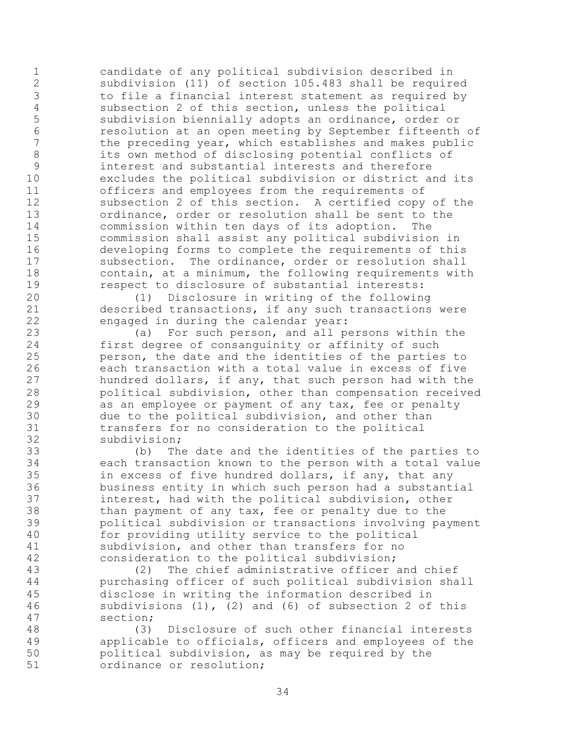candidate of any political subdivision described in subdivision (11) of section 105.483 shall be required to file a financial interest statement as required by 4 subsection 2 of this section, unless the political<br>5 subdivision biennially adopts an ordinance, order subdivision biennially adopts an ordinance, order or 6 resolution at an open meeting by September fifteenth of<br>7 the preceding vear, which establishes and makes public the preceding year, which establishes and makes public its own method of disclosing potential conflicts of interest and substantial interests and therefore excludes the political subdivision or district and its officers and employees from the requirements of subsection 2 of this section. A certified copy of the ordinance, order or resolution shall be sent to the commission within ten days of its adoption. The commission shall assist any political subdivision in developing forms to complete the requirements of this 17 subsection. The ordinance, order or resolution shall contain, at a minimum, the following requirements with respect to disclosure of substantial interests:

 (1) Disclosure in writing of the following described transactions, if any such transactions were engaged in during the calendar year:

 (a) For such person, and all persons within the first degree of consanguinity or affinity of such person, the date and the identities of the parties to each transaction with a total value in excess of five hundred dollars, if any, that such person had with the political subdivision, other than compensation received as an employee or payment of any tax, fee or penalty due to the political subdivision, and other than transfers for no consideration to the political subdivision;

 (b) The date and the identities of the parties to each transaction known to the person with a total value in excess of five hundred dollars, if any, that any business entity in which such person had a substantial interest, had with the political subdivision, other than payment of any tax, fee or penalty due to the political subdivision or transactions involving payment for providing utility service to the political subdivision, and other than transfers for no consideration to the political subdivision;

 (2) The chief administrative officer and chief purchasing officer of such political subdivision shall disclose in writing the information described in subdivisions (1), (2) and (6) of subsection 2 of this section;

 (3) Disclosure of such other financial interests applicable to officials, officers and employees of the political subdivision, as may be required by the ordinance or resolution;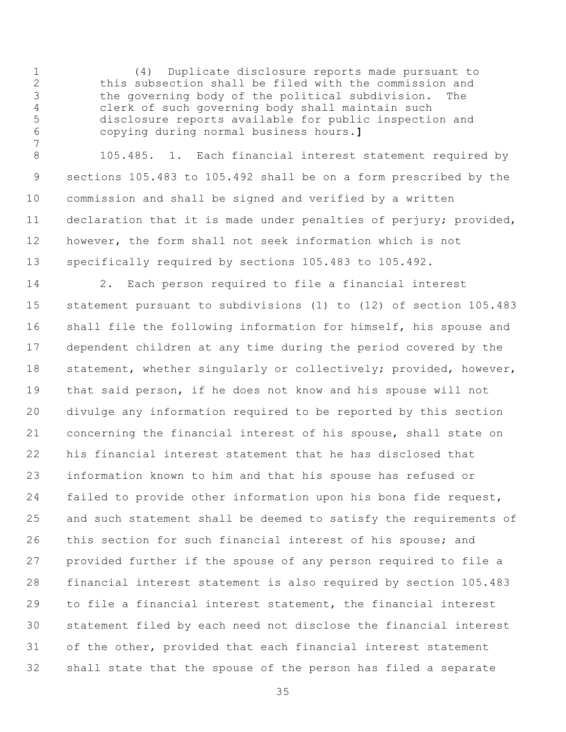(4) Duplicate disclosure reports made pursuant to this subsection shall be filed with the commission and the governing body of the political subdivision. The clerk of such governing body shall maintain such disclosure reports available for public inspection and copying during normal business hours.**]**

 105.485. 1. Each financial interest statement required by sections 105.483 to 105.492 shall be on a form prescribed by the commission and shall be signed and verified by a written declaration that it is made under penalties of perjury; provided, however, the form shall not seek information which is not specifically required by sections 105.483 to 105.492.

 2. Each person required to file a financial interest statement pursuant to subdivisions (1) to (12) of section 105.483 shall file the following information for himself, his spouse and dependent children at any time during the period covered by the 18 statement, whether singularly or collectively; provided, however, that said person, if he does not know and his spouse will not divulge any information required to be reported by this section concerning the financial interest of his spouse, shall state on his financial interest statement that he has disclosed that information known to him and that his spouse has refused or failed to provide other information upon his bona fide request, and such statement shall be deemed to satisfy the requirements of this section for such financial interest of his spouse; and provided further if the spouse of any person required to file a financial interest statement is also required by section 105.483 to file a financial interest statement, the financial interest statement filed by each need not disclose the financial interest of the other, provided that each financial interest statement shall state that the spouse of the person has filed a separate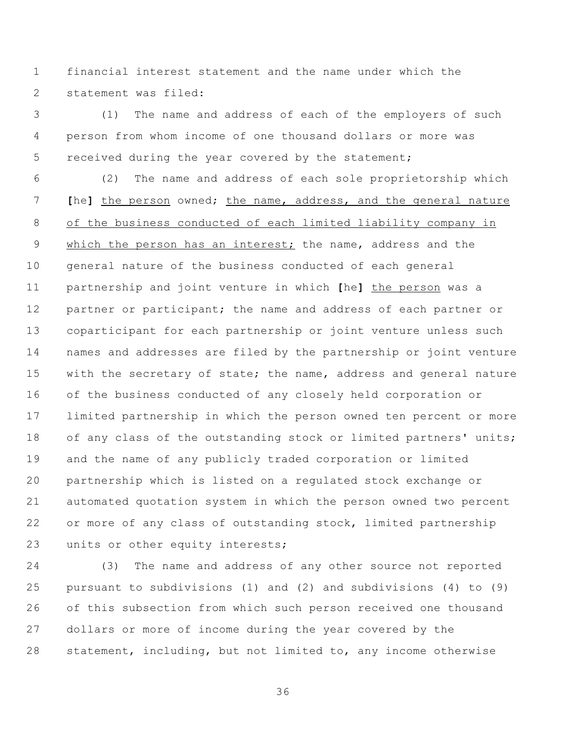financial interest statement and the name under which the statement was filed:

 (1) The name and address of each of the employers of such person from whom income of one thousand dollars or more was 5 received during the year covered by the statement;

 (2) The name and address of each sole proprietorship which **[**he**]** the person owned; the name, address, and the general nature of the business conducted of each limited liability company in which the person has an interest; the name, address and the general nature of the business conducted of each general partnership and joint venture in which **[**he**]** the person was a 12 partner or participant; the name and address of each partner or coparticipant for each partnership or joint venture unless such names and addresses are filed by the partnership or joint venture 15 with the secretary of state; the name, address and general nature of the business conducted of any closely held corporation or limited partnership in which the person owned ten percent or more 18 of any class of the outstanding stock or limited partners' units; and the name of any publicly traded corporation or limited partnership which is listed on a regulated stock exchange or automated quotation system in which the person owned two percent or more of any class of outstanding stock, limited partnership 23 units or other equity interests;

 (3) The name and address of any other source not reported pursuant to subdivisions (1) and (2) and subdivisions (4) to (9) of this subsection from which such person received one thousand dollars or more of income during the year covered by the statement, including, but not limited to, any income otherwise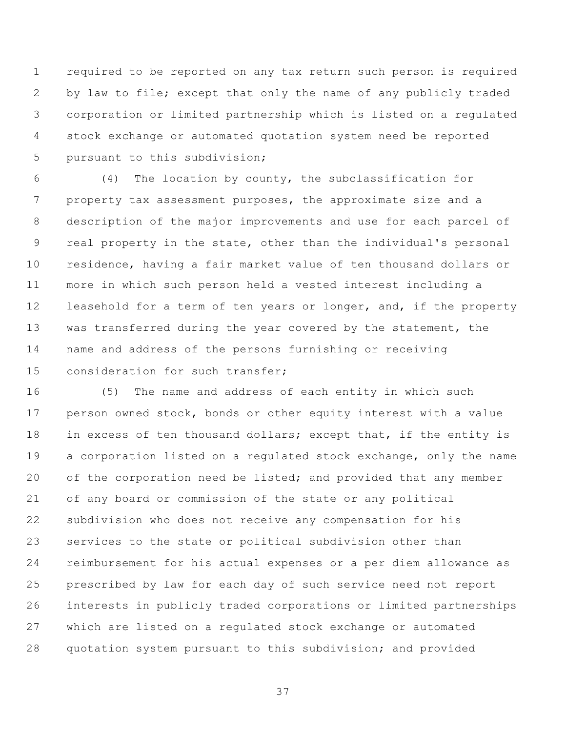required to be reported on any tax return such person is required by law to file; except that only the name of any publicly traded corporation or limited partnership which is listed on a regulated stock exchange or automated quotation system need be reported pursuant to this subdivision;

 (4) The location by county, the subclassification for property tax assessment purposes, the approximate size and a description of the major improvements and use for each parcel of real property in the state, other than the individual's personal residence, having a fair market value of ten thousand dollars or more in which such person held a vested interest including a 12 leasehold for a term of ten years or longer, and, if the property 13 was transferred during the year covered by the statement, the name and address of the persons furnishing or receiving consideration for such transfer;

 (5) The name and address of each entity in which such person owned stock, bonds or other equity interest with a value 18 in excess of ten thousand dollars; except that, if the entity is a corporation listed on a regulated stock exchange, only the name 20 of the corporation need be listed; and provided that any member of any board or commission of the state or any political subdivision who does not receive any compensation for his services to the state or political subdivision other than reimbursement for his actual expenses or a per diem allowance as prescribed by law for each day of such service need not report interests in publicly traded corporations or limited partnerships which are listed on a regulated stock exchange or automated quotation system pursuant to this subdivision; and provided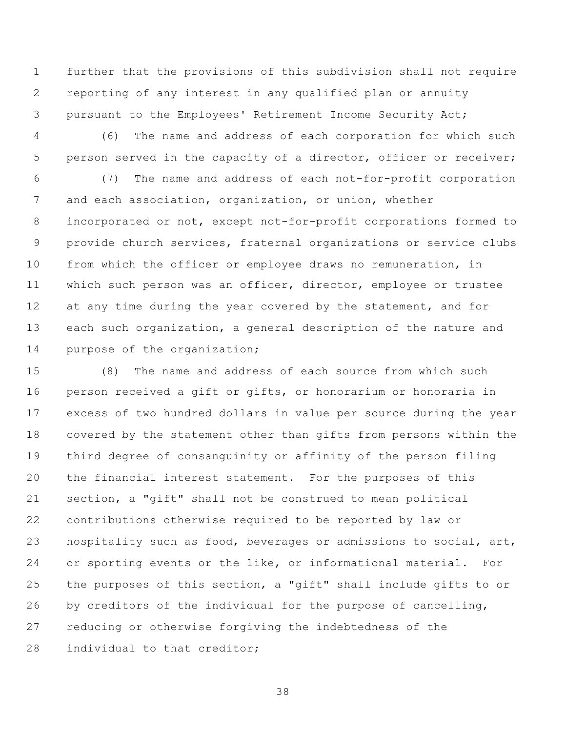further that the provisions of this subdivision shall not require reporting of any interest in any qualified plan or annuity pursuant to the Employees' Retirement Income Security Act;

 (6) The name and address of each corporation for which such 5 person served in the capacity of a director, officer or receiver;

 (7) The name and address of each not-for-profit corporation and each association, organization, or union, whether incorporated or not, except not-for-profit corporations formed to provide church services, fraternal organizations or service clubs from which the officer or employee draws no remuneration, in which such person was an officer, director, employee or trustee 12 at any time during the year covered by the statement, and for each such organization, a general description of the nature and 14 purpose of the organization;

 (8) The name and address of each source from which such person received a gift or gifts, or honorarium or honoraria in excess of two hundred dollars in value per source during the year covered by the statement other than gifts from persons within the third degree of consanguinity or affinity of the person filing the financial interest statement. For the purposes of this section, a "gift" shall not be construed to mean political contributions otherwise required to be reported by law or 23 hospitality such as food, beverages or admissions to social, art, or sporting events or the like, or informational material. For the purposes of this section, a "gift" shall include gifts to or by creditors of the individual for the purpose of cancelling, reducing or otherwise forgiving the indebtedness of the 28 individual to that creditor: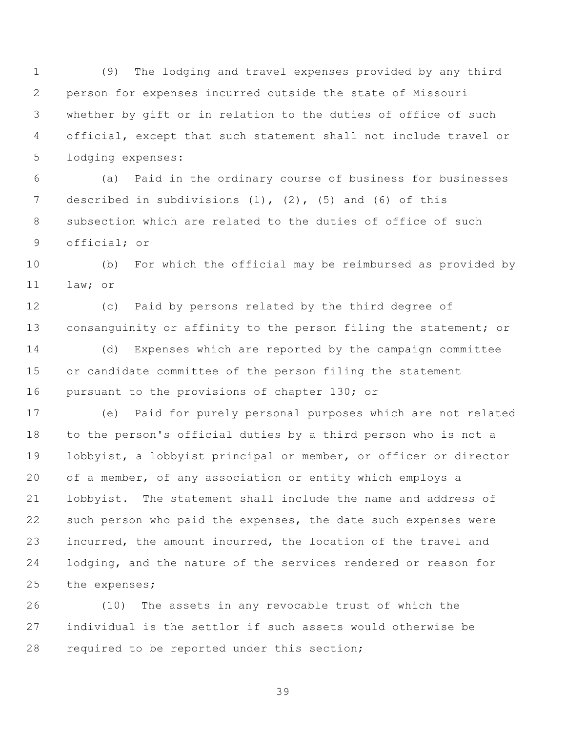(9) The lodging and travel expenses provided by any third person for expenses incurred outside the state of Missouri whether by gift or in relation to the duties of office of such official, except that such statement shall not include travel or lodging expenses:

 (a) Paid in the ordinary course of business for businesses described in subdivisions (1), (2), (5) and (6) of this subsection which are related to the duties of office of such official; or

 (b) For which the official may be reimbursed as provided by law; or

 (c) Paid by persons related by the third degree of 13 consanguinity or affinity to the person filing the statement; or

 (d) Expenses which are reported by the campaign committee or candidate committee of the person filing the statement 16 pursuant to the provisions of chapter 130; or

 (e) Paid for purely personal purposes which are not related to the person's official duties by a third person who is not a lobbyist, a lobbyist principal or member, or officer or director of a member, of any association or entity which employs a lobbyist. The statement shall include the name and address of such person who paid the expenses, the date such expenses were incurred, the amount incurred, the location of the travel and lodging, and the nature of the services rendered or reason for the expenses;

 (10) The assets in any revocable trust of which the individual is the settlor if such assets would otherwise be required to be reported under this section;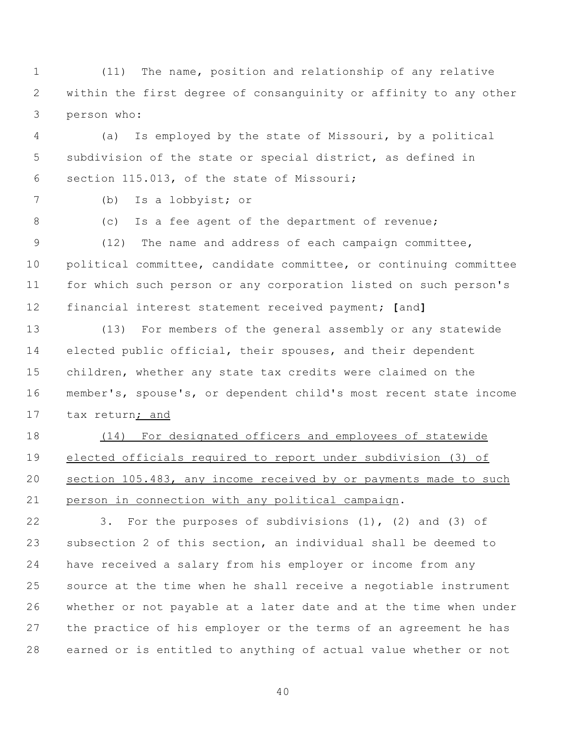(11) The name, position and relationship of any relative within the first degree of consanguinity or affinity to any other person who:

 (a) Is employed by the state of Missouri, by a political subdivision of the state or special district, as defined in section 115.013, of the state of Missouri;

(b) Is a lobbyist; or

(c) Is a fee agent of the department of revenue;

 (12) The name and address of each campaign committee, political committee, candidate committee, or continuing committee for which such person or any corporation listed on such person's financial interest statement received payment; **[**and**]**

 (13) For members of the general assembly or any statewide elected public official, their spouses, and their dependent children, whether any state tax credits were claimed on the member's, spouse's, or dependent child's most recent state income tax return; and

 (14) For designated officers and employees of statewide elected officials required to report under subdivision (3) of section 105.483, any income received by or payments made to such person in connection with any political campaign.

 3. For the purposes of subdivisions (1), (2) and (3) of subsection 2 of this section, an individual shall be deemed to have received a salary from his employer or income from any source at the time when he shall receive a negotiable instrument whether or not payable at a later date and at the time when under the practice of his employer or the terms of an agreement he has earned or is entitled to anything of actual value whether or not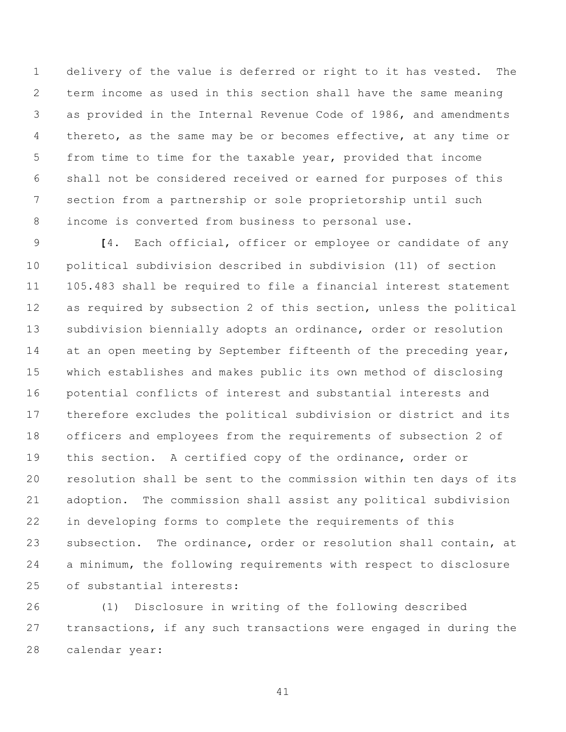delivery of the value is deferred or right to it has vested. The term income as used in this section shall have the same meaning as provided in the Internal Revenue Code of 1986, and amendments thereto, as the same may be or becomes effective, at any time or from time to time for the taxable year, provided that income shall not be considered received or earned for purposes of this section from a partnership or sole proprietorship until such income is converted from business to personal use.

 **[**4. Each official, officer or employee or candidate of any political subdivision described in subdivision (11) of section 105.483 shall be required to file a financial interest statement as required by subsection 2 of this section, unless the political subdivision biennially adopts an ordinance, order or resolution 14 at an open meeting by September fifteenth of the preceding year, which establishes and makes public its own method of disclosing potential conflicts of interest and substantial interests and therefore excludes the political subdivision or district and its officers and employees from the requirements of subsection 2 of this section. A certified copy of the ordinance, order or resolution shall be sent to the commission within ten days of its adoption. The commission shall assist any political subdivision in developing forms to complete the requirements of this subsection. The ordinance, order or resolution shall contain, at a minimum, the following requirements with respect to disclosure of substantial interests:

 (1) Disclosure in writing of the following described transactions, if any such transactions were engaged in during the calendar year: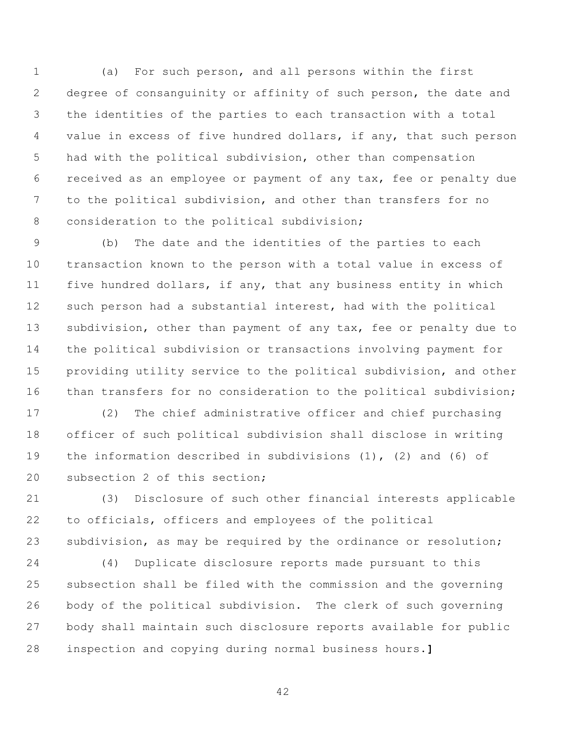(a) For such person, and all persons within the first degree of consanguinity or affinity of such person, the date and the identities of the parties to each transaction with a total 4 value in excess of five hundred dollars, if any, that such person had with the political subdivision, other than compensation received as an employee or payment of any tax, fee or penalty due to the political subdivision, and other than transfers for no 8 consideration to the political subdivision;

 (b) The date and the identities of the parties to each transaction known to the person with a total value in excess of five hundred dollars, if any, that any business entity in which such person had a substantial interest, had with the political 13 subdivision, other than payment of any tax, fee or penalty due to the political subdivision or transactions involving payment for providing utility service to the political subdivision, and other 16 than transfers for no consideration to the political subdivision;

 (2) The chief administrative officer and chief purchasing officer of such political subdivision shall disclose in writing the information described in subdivisions (1), (2) and (6) of subsection 2 of this section;

 (3) Disclosure of such other financial interests applicable to officials, officers and employees of the political subdivision, as may be required by the ordinance or resolution;

 (4) Duplicate disclosure reports made pursuant to this subsection shall be filed with the commission and the governing body of the political subdivision. The clerk of such governing body shall maintain such disclosure reports available for public inspection and copying during normal business hours.**]**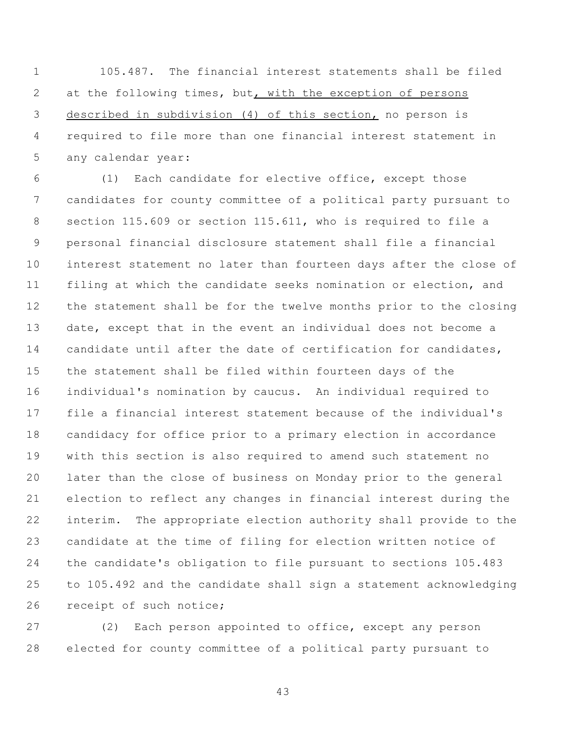105.487. The financial interest statements shall be filed at the following times, but, with the exception of persons described in subdivision (4) of this section, no person is required to file more than one financial interest statement in any calendar year:

 (1) Each candidate for elective office, except those candidates for county committee of a political party pursuant to section 115.609 or section 115.611, who is required to file a personal financial disclosure statement shall file a financial interest statement no later than fourteen days after the close of filing at which the candidate seeks nomination or election, and the statement shall be for the twelve months prior to the closing date, except that in the event an individual does not become a candidate until after the date of certification for candidates, the statement shall be filed within fourteen days of the individual's nomination by caucus. An individual required to file a financial interest statement because of the individual's candidacy for office prior to a primary election in accordance with this section is also required to amend such statement no later than the close of business on Monday prior to the general election to reflect any changes in financial interest during the interim. The appropriate election authority shall provide to the candidate at the time of filing for election written notice of the candidate's obligation to file pursuant to sections 105.483 to 105.492 and the candidate shall sign a statement acknowledging receipt of such notice;

 (2) Each person appointed to office, except any person elected for county committee of a political party pursuant to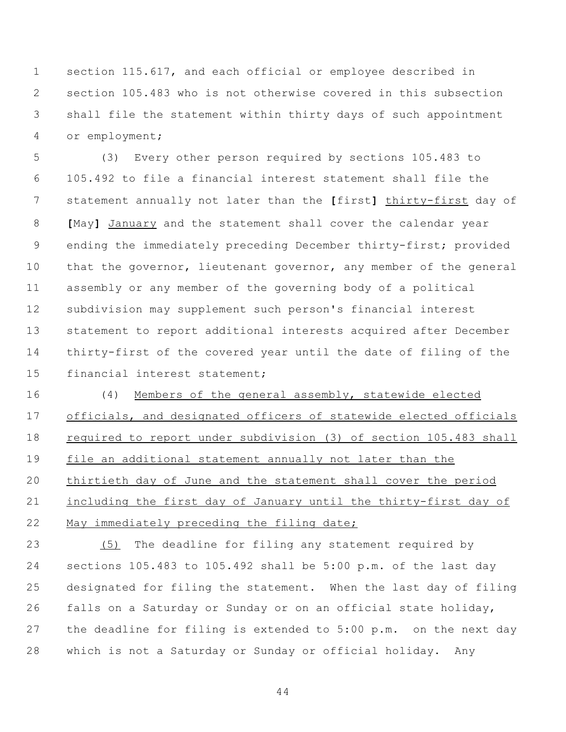section 115.617, and each official or employee described in section 105.483 who is not otherwise covered in this subsection shall file the statement within thirty days of such appointment or employment;

 (3) Every other person required by sections 105.483 to 105.492 to file a financial interest statement shall file the statement annually not later than the **[**first**]** thirty-first day of **[**May**]** January and the statement shall cover the calendar year ending the immediately preceding December thirty-first; provided 10 that the governor, lieutenant governor, any member of the general assembly or any member of the governing body of a political subdivision may supplement such person's financial interest statement to report additional interests acquired after December thirty-first of the covered year until the date of filing of the financial interest statement;

 (4) Members of the general assembly, statewide elected officials, and designated officers of statewide elected officials required to report under subdivision (3) of section 105.483 shall file an additional statement annually not later than the thirtieth day of June and the statement shall cover the period including the first day of January until the thirty-first day of May immediately preceding the filing date;

 (5) The deadline for filing any statement required by sections 105.483 to 105.492 shall be 5:00 p.m. of the last day designated for filing the statement. When the last day of filing falls on a Saturday or Sunday or on an official state holiday, the deadline for filing is extended to 5:00 p.m. on the next day which is not a Saturday or Sunday or official holiday. Any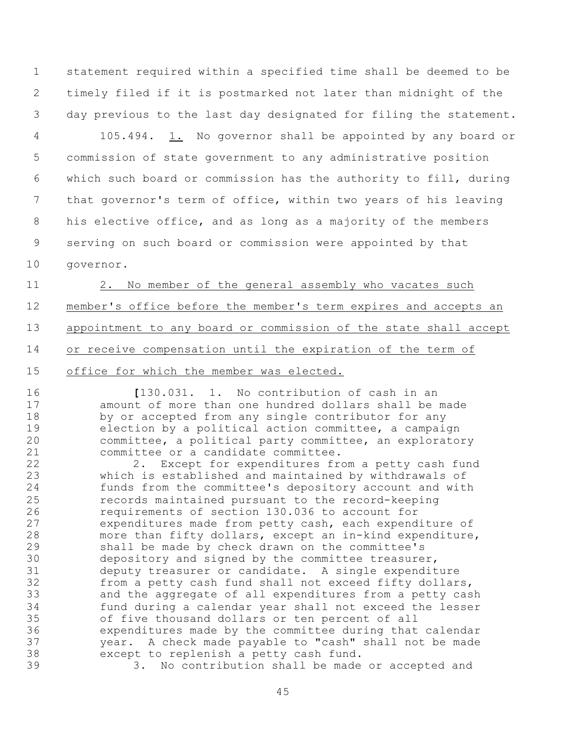statement required within a specified time shall be deemed to be timely filed if it is postmarked not later than midnight of the day previous to the last day designated for filing the statement.

 105.494. 1. No governor shall be appointed by any board or commission of state government to any administrative position which such board or commission has the authority to fill, during that governor's term of office, within two years of his leaving his elective office, and as long as a majority of the members serving on such board or commission were appointed by that

governor.

 2. No member of the general assembly who vacates such member's office before the member's term expires and accepts an appointment to any board or commission of the state shall accept or receive compensation until the expiration of the term of

office for which the member was elected.

 **[**130.031. 1. No contribution of cash in an amount of more than one hundred dollars shall be made by or accepted from any single contributor for any election by a political action committee, a campaign committee, a political party committee, an exploratory committee or a candidate committee.

 2. Except for expenditures from a petty cash fund which is established and maintained by withdrawals of funds from the committee's depository account and with records maintained pursuant to the record-keeping requirements of section 130.036 to account for expenditures made from petty cash, each expenditure of more than fifty dollars, except an in-kind expenditure, shall be made by check drawn on the committee's depository and signed by the committee treasurer, deputy treasurer or candidate. A single expenditure from a petty cash fund shall not exceed fifty dollars, and the aggregate of all expenditures from a petty cash fund during a calendar year shall not exceed the lesser of five thousand dollars or ten percent of all expenditures made by the committee during that calendar year. A check made payable to "cash" shall not be made except to replenish a petty cash fund.

3. No contribution shall be made or accepted and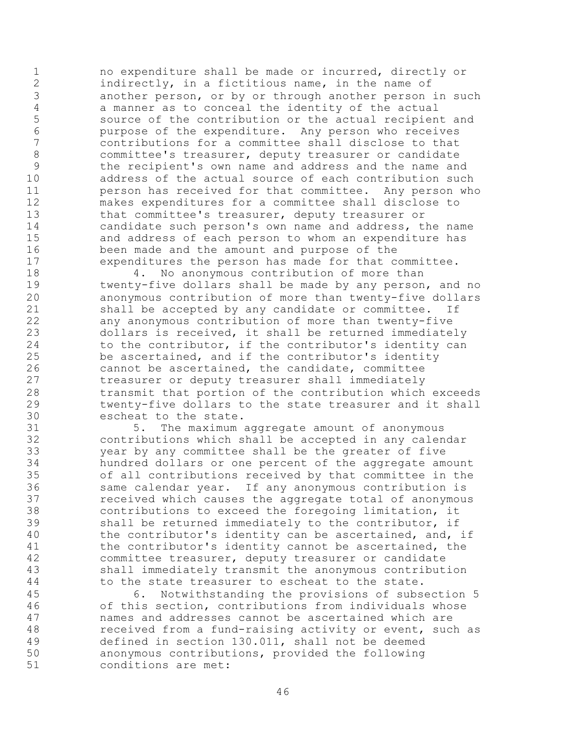no expenditure shall be made or incurred, directly or indirectly, in a fictitious name, in the name of another person, or by or through another person in such 4 a manner as to conceal the identity of the actual<br>5 source of the contribution or the actual recipien source of the contribution or the actual recipient and purpose of the expenditure. Any person who receives contributions for a committee shall disclose to that 8 committee's treasurer, deputy treasurer or candidate the recipient's own name and address and the name and address of the actual source of each contribution such person has received for that committee. Any person who makes expenditures for a committee shall disclose to that committee's treasurer, deputy treasurer or candidate such person's own name and address, the name and address of each person to whom an expenditure has been made and the amount and purpose of the expenditures the person has made for that committee.

18 4. No anonymous contribution of more than twenty-five dollars shall be made by any person, and no anonymous contribution of more than twenty-five dollars shall be accepted by any candidate or committee. If any anonymous contribution of more than twenty-five dollars is received, it shall be returned immediately 24 to the contributor, if the contributor's identity can be ascertained, and if the contributor's identity cannot be ascertained, the candidate, committee treasurer or deputy treasurer shall immediately transmit that portion of the contribution which exceeds twenty-five dollars to the state treasurer and it shall escheat to the state.

 5. The maximum aggregate amount of anonymous contributions which shall be accepted in any calendar year by any committee shall be the greater of five hundred dollars or one percent of the aggregate amount of all contributions received by that committee in the same calendar year. If any anonymous contribution is received which causes the aggregate total of anonymous 38 contributions to exceed the foregoing limitation, it<br>39 shall be returned immediately to the contributor, if shall be returned immediately to the contributor, if the contributor's identity can be ascertained, and, if the contributor's identity cannot be ascertained, the committee treasurer, deputy treasurer or candidate shall immediately transmit the anonymous contribution to the state treasurer to escheat to the state.

 6. Notwithstanding the provisions of subsection 5 of this section, contributions from individuals whose names and addresses cannot be ascertained which are received from a fund-raising activity or event, such as defined in section 130.011, shall not be deemed anonymous contributions, provided the following conditions are met: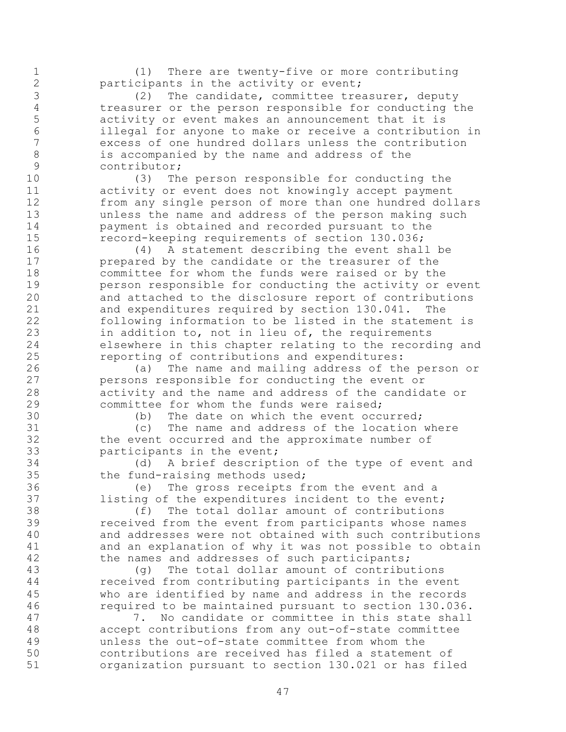(1) There are twenty-five or more contributing participants in the activity or event;

 (2) The candidate, committee treasurer, deputy treasurer or the person responsible for conducting the activity or event makes an announcement that it is illegal for anyone to make or receive a contribution in excess of one hundred dollars unless the contribution is accompanied by the name and address of the contributor;

 (3) The person responsible for conducting the activity or event does not knowingly accept payment from any single person of more than one hundred dollars unless the name and address of the person making such payment is obtained and recorded pursuant to the record-keeping requirements of section 130.036;

 (4) A statement describing the event shall be prepared by the candidate or the treasurer of the committee for whom the funds were raised or by the person responsible for conducting the activity or event and attached to the disclosure report of contributions and expenditures required by section 130.041. The following information to be listed in the statement is in addition to, not in lieu of, the requirements elsewhere in this chapter relating to the recording and reporting of contributions and expenditures:

 (a) The name and mailing address of the person or persons responsible for conducting the event or activity and the name and address of the candidate or committee for whom the funds were raised;

(b) The date on which the event occurred;

 (c) The name and address of the location where the event occurred and the approximate number of participants in the event;

 (d) A brief description of the type of event and the fund-raising methods used;

 (e) The gross receipts from the event and a listing of the expenditures incident to the event;

38 (f) The total dollar amount of contributions<br>39 ceceived from the event from participants whose na received from the event from participants whose names and addresses were not obtained with such contributions and an explanation of why it was not possible to obtain 42 the names and addresses of such participants;

 (g) The total dollar amount of contributions received from contributing participants in the event who are identified by name and address in the records required to be maintained pursuant to section 130.036.

 7. No candidate or committee in this state shall accept contributions from any out-of-state committee unless the out-of-state committee from whom the contributions are received has filed a statement of organization pursuant to section 130.021 or has filed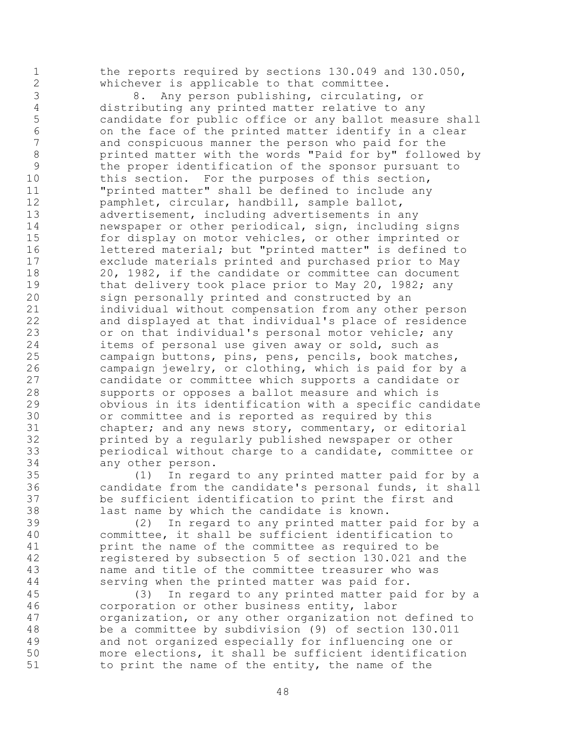1 the reports required by sections 130.049 and 130.050, whichever is applicable to that committee.

 8. Any person publishing, circulating, or distributing any printed matter relative to any candidate for public office or any ballot measure shall on the face of the printed matter identify in a clear and conspicuous manner the person who paid for the printed matter with the words "Paid for by" followed by the proper identification of the sponsor pursuant to 10 this section. For the purposes of this section, "printed matter" shall be defined to include any pamphlet, circular, handbill, sample ballot, advertisement, including advertisements in any newspaper or other periodical, sign, including signs for display on motor vehicles, or other imprinted or lettered material; but "printed matter" is defined to exclude materials printed and purchased prior to May 20, 1982, if the candidate or committee can document 19 that delivery took place prior to May 20, 1982; any sign personally printed and constructed by an individual without compensation from any other person and displayed at that individual's place of residence or on that individual's personal motor vehicle; any items of personal use given away or sold, such as campaign buttons, pins, pens, pencils, book matches, campaign jewelry, or clothing, which is paid for by a candidate or committee which supports a candidate or supports or opposes a ballot measure and which is obvious in its identification with a specific candidate or committee and is reported as required by this chapter; and any news story, commentary, or editorial printed by a regularly published newspaper or other periodical without charge to a candidate, committee or any other person.

 (1) In regard to any printed matter paid for by a candidate from the candidate's personal funds, it shall be sufficient identification to print the first and 38 last name by which the candidate is known.<br>39 (2) In regard to any printed matter

(2) In regard to any printed matter paid for by a committee, it shall be sufficient identification to print the name of the committee as required to be registered by subsection 5 of section 130.021 and the name and title of the committee treasurer who was serving when the printed matter was paid for.

 (3) In regard to any printed matter paid for by a corporation or other business entity, labor organization, or any other organization not defined to be a committee by subdivision (9) of section 130.011 and not organized especially for influencing one or more elections, it shall be sufficient identification to print the name of the entity, the name of the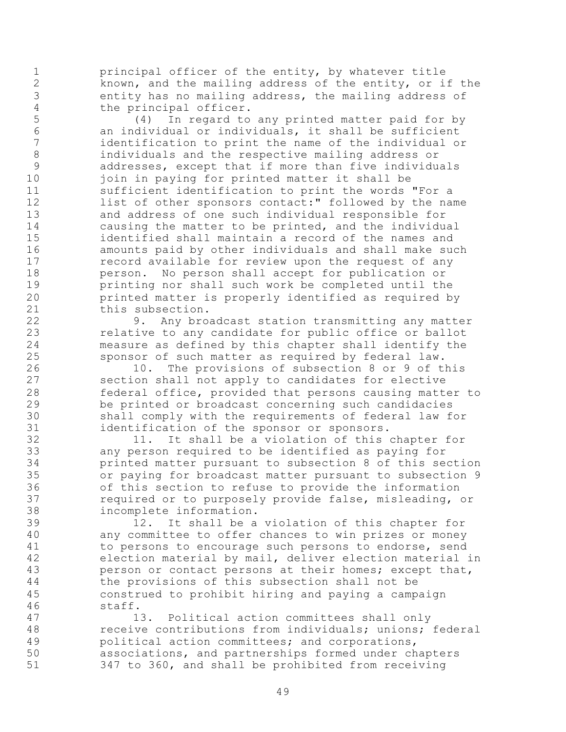principal officer of the entity, by whatever title known, and the mailing address of the entity, or if the entity has no mailing address, the mailing address of

4 the principal officer.<br>5 (4) In regard to (4) In regard to any printed matter paid for by an individual or individuals, it shall be sufficient identification to print the name of the individual or individuals and the respective mailing address or addresses, except that if more than five individuals 10 join in paying for printed matter it shall be sufficient identification to print the words "For a 12 list of other sponsors contact:" followed by the name and address of one such individual responsible for causing the matter to be printed, and the individual identified shall maintain a record of the names and amounts paid by other individuals and shall make such **record available for review upon the request of any**  person. No person shall accept for publication or printing nor shall such work be completed until the printed matter is properly identified as required by this subsection.

 9. Any broadcast station transmitting any matter relative to any candidate for public office or ballot measure as defined by this chapter shall identify the sponsor of such matter as required by federal law.

 10. The provisions of subsection 8 or 9 of this section shall not apply to candidates for elective federal office, provided that persons causing matter to be printed or broadcast concerning such candidacies shall comply with the requirements of federal law for identification of the sponsor or sponsors.

 11. It shall be a violation of this chapter for any person required to be identified as paying for printed matter pursuant to subsection 8 of this section or paying for broadcast matter pursuant to subsection 9 of this section to refuse to provide the information required or to purposely provide false, misleading, or

38 incomplete information.<br>39 12. It shall be a 12. It shall be a violation of this chapter for any committee to offer chances to win prizes or money to persons to encourage such persons to endorse, send election material by mail, deliver election material in person or contact persons at their homes; except that, the provisions of this subsection shall not be construed to prohibit hiring and paying a campaign staff.

 13. Political action committees shall only receive contributions from individuals; unions; federal political action committees; and corporations, associations, and partnerships formed under chapters 347 to 360, and shall be prohibited from receiving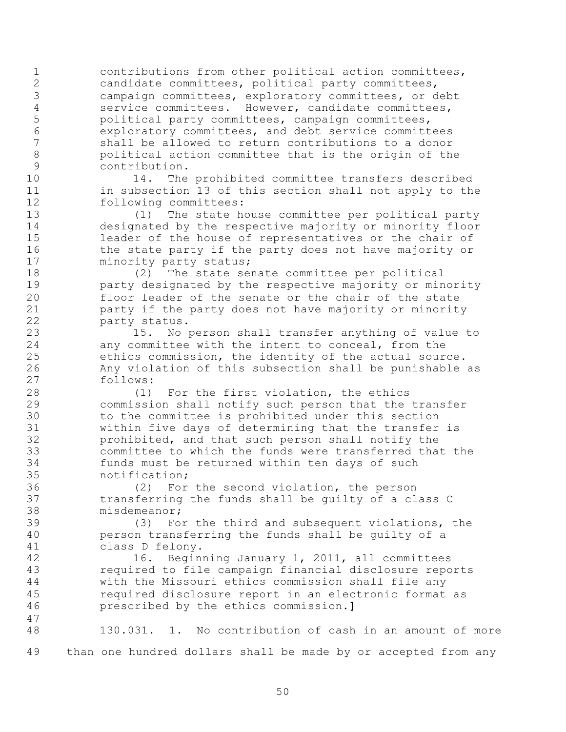contributions from other political action committees, candidate committees, political party committees, campaign committees, exploratory committees, or debt service committees. However, candidate committees, political party committees, campaign committees, exploratory committees, and debt service committees shall be allowed to return contributions to a donor political action committee that is the origin of the contribution.

 14. The prohibited committee transfers described 11 in subsection 13 of this section shall not apply to the following committees:

 (1) The state house committee per political party designated by the respective majority or minority floor leader of the house of representatives or the chair of 16 the state party if the party does not have majority or 17 minority party status;

 (2) The state senate committee per political party designated by the respective majority or minority floor leader of the senate or the chair of the state party if the party does not have majority or minority party status.

 15. No person shall transfer anything of value to any committee with the intent to conceal, from the ethics commission, the identity of the actual source. Any violation of this subsection shall be punishable as follows:

 (1) For the first violation, the ethics commission shall notify such person that the transfer to the committee is prohibited under this section within five days of determining that the transfer is prohibited, and that such person shall notify the committee to which the funds were transferred that the funds must be returned within ten days of such notification;

 (2) For the second violation, the person transferring the funds shall be guilty of a class C

38 misdemeanor;<br>39 (3) Fo: (3) For the third and subsequent violations, the person transferring the funds shall be guilty of a class D felony.

 16. Beginning January 1, 2011, all committees required to file campaign financial disclosure reports with the Missouri ethics commission shall file any required disclosure report in an electronic format as prescribed by the ethics commission.**]**

 130.031. 1. No contribution of cash in an amount of more than one hundred dollars shall be made by or accepted from any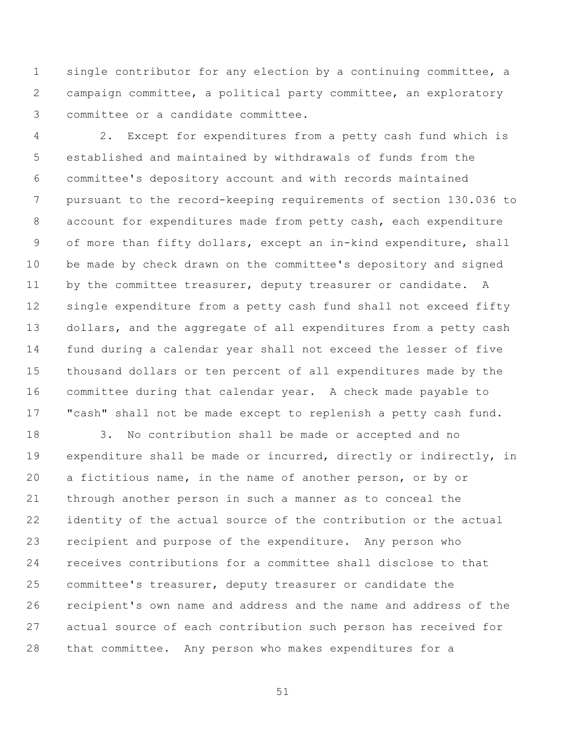single contributor for any election by a continuing committee, a campaign committee, a political party committee, an exploratory committee or a candidate committee.

 2. Except for expenditures from a petty cash fund which is established and maintained by withdrawals of funds from the committee's depository account and with records maintained pursuant to the record-keeping requirements of section 130.036 to account for expenditures made from petty cash, each expenditure of more than fifty dollars, except an in-kind expenditure, shall be made by check drawn on the committee's depository and signed 11 by the committee treasurer, deputy treasurer or candidate. A single expenditure from a petty cash fund shall not exceed fifty dollars, and the aggregate of all expenditures from a petty cash fund during a calendar year shall not exceed the lesser of five thousand dollars or ten percent of all expenditures made by the committee during that calendar year. A check made payable to "cash" shall not be made except to replenish a petty cash fund.

 3. No contribution shall be made or accepted and no expenditure shall be made or incurred, directly or indirectly, in a fictitious name, in the name of another person, or by or through another person in such a manner as to conceal the identity of the actual source of the contribution or the actual recipient and purpose of the expenditure. Any person who receives contributions for a committee shall disclose to that committee's treasurer, deputy treasurer or candidate the recipient's own name and address and the name and address of the actual source of each contribution such person has received for that committee. Any person who makes expenditures for a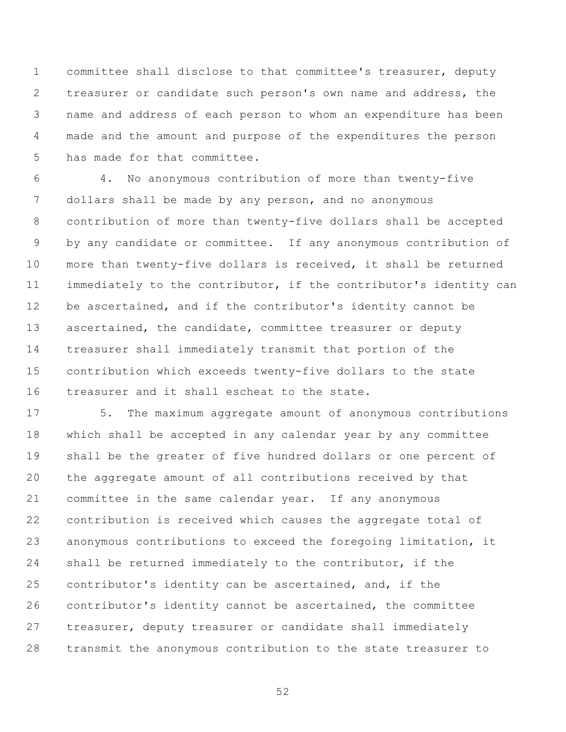committee shall disclose to that committee's treasurer, deputy treasurer or candidate such person's own name and address, the name and address of each person to whom an expenditure has been made and the amount and purpose of the expenditures the person has made for that committee.

 4. No anonymous contribution of more than twenty-five dollars shall be made by any person, and no anonymous contribution of more than twenty-five dollars shall be accepted by any candidate or committee. If any anonymous contribution of more than twenty-five dollars is received, it shall be returned immediately to the contributor, if the contributor's identity can 12 be ascertained, and if the contributor's identity cannot be ascertained, the candidate, committee treasurer or deputy treasurer shall immediately transmit that portion of the contribution which exceeds twenty-five dollars to the state treasurer and it shall escheat to the state.

 5. The maximum aggregate amount of anonymous contributions which shall be accepted in any calendar year by any committee shall be the greater of five hundred dollars or one percent of the aggregate amount of all contributions received by that committee in the same calendar year. If any anonymous contribution is received which causes the aggregate total of anonymous contributions to exceed the foregoing limitation, it shall be returned immediately to the contributor, if the contributor's identity can be ascertained, and, if the contributor's identity cannot be ascertained, the committee treasurer, deputy treasurer or candidate shall immediately transmit the anonymous contribution to the state treasurer to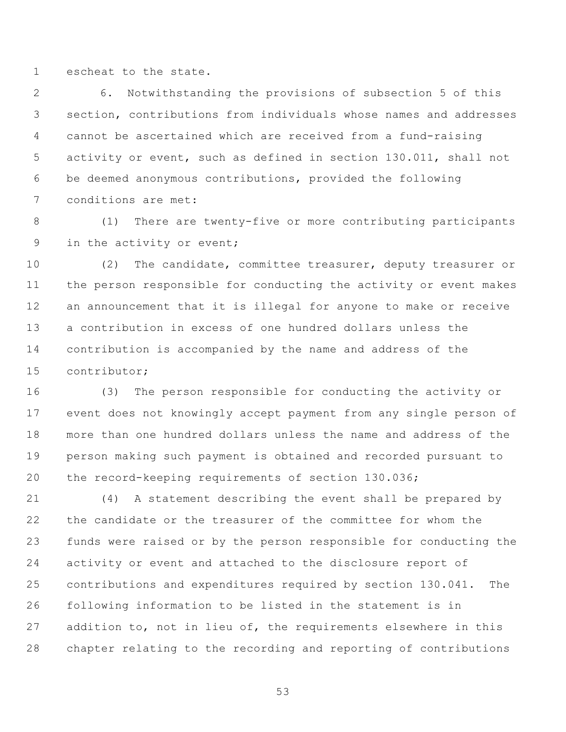escheat to the state.

 6. Notwithstanding the provisions of subsection 5 of this section, contributions from individuals whose names and addresses cannot be ascertained which are received from a fund-raising activity or event, such as defined in section 130.011, shall not be deemed anonymous contributions, provided the following conditions are met:

 (1) There are twenty-five or more contributing participants in the activity or event;

 (2) The candidate, committee treasurer, deputy treasurer or the person responsible for conducting the activity or event makes an announcement that it is illegal for anyone to make or receive a contribution in excess of one hundred dollars unless the contribution is accompanied by the name and address of the contributor;

 (3) The person responsible for conducting the activity or event does not knowingly accept payment from any single person of more than one hundred dollars unless the name and address of the person making such payment is obtained and recorded pursuant to the record-keeping requirements of section 130.036;

 (4) A statement describing the event shall be prepared by the candidate or the treasurer of the committee for whom the funds were raised or by the person responsible for conducting the activity or event and attached to the disclosure report of contributions and expenditures required by section 130.041. The following information to be listed in the statement is in addition to, not in lieu of, the requirements elsewhere in this chapter relating to the recording and reporting of contributions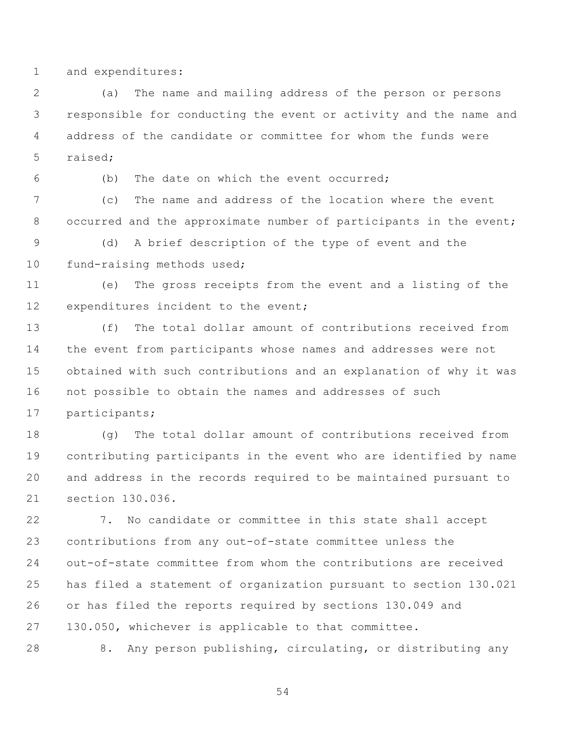and expenditures:

 (a) The name and mailing address of the person or persons responsible for conducting the event or activity and the name and address of the candidate or committee for whom the funds were raised;

(b) The date on which the event occurred;

 (c) The name and address of the location where the event 8 occurred and the approximate number of participants in the event;

 (d) A brief description of the type of event and the 10 fund-raising methods used;

 (e) The gross receipts from the event and a listing of the 12 expenditures incident to the event;

 (f) The total dollar amount of contributions received from the event from participants whose names and addresses were not obtained with such contributions and an explanation of why it was not possible to obtain the names and addresses of such participants;

 (g) The total dollar amount of contributions received from contributing participants in the event who are identified by name and address in the records required to be maintained pursuant to section 130.036.

 7. No candidate or committee in this state shall accept contributions from any out-of-state committee unless the out-of-state committee from whom the contributions are received has filed a statement of organization pursuant to section 130.021 or has filed the reports required by sections 130.049 and 130.050, whichever is applicable to that committee.

8. Any person publishing, circulating, or distributing any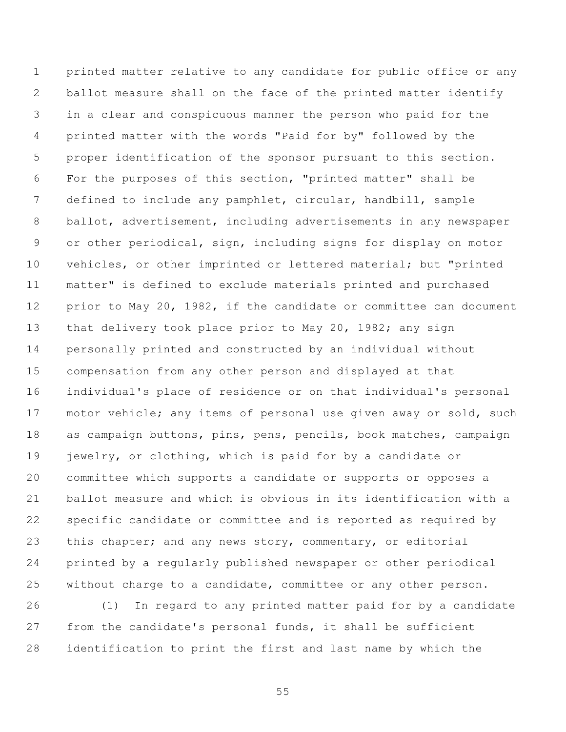printed matter relative to any candidate for public office or any ballot measure shall on the face of the printed matter identify in a clear and conspicuous manner the person who paid for the printed matter with the words "Paid for by" followed by the proper identification of the sponsor pursuant to this section. For the purposes of this section, "printed matter" shall be defined to include any pamphlet, circular, handbill, sample ballot, advertisement, including advertisements in any newspaper or other periodical, sign, including signs for display on motor vehicles, or other imprinted or lettered material; but "printed matter" is defined to exclude materials printed and purchased 12 prior to May 20, 1982, if the candidate or committee can document 13 that delivery took place prior to May 20, 1982; any sign personally printed and constructed by an individual without compensation from any other person and displayed at that individual's place of residence or on that individual's personal 17 motor vehicle; any items of personal use given away or sold, such as campaign buttons, pins, pens, pencils, book matches, campaign jewelry, or clothing, which is paid for by a candidate or committee which supports a candidate or supports or opposes a ballot measure and which is obvious in its identification with a specific candidate or committee and is reported as required by 23 this chapter; and any news story, commentary, or editorial printed by a regularly published newspaper or other periodical without charge to a candidate, committee or any other person.

 (1) In regard to any printed matter paid for by a candidate from the candidate's personal funds, it shall be sufficient identification to print the first and last name by which the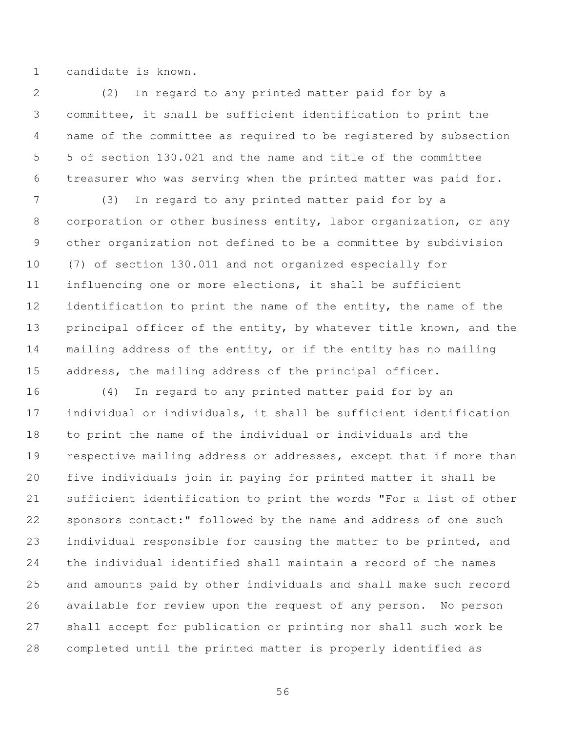candidate is known.

 (2) In regard to any printed matter paid for by a committee, it shall be sufficient identification to print the name of the committee as required to be registered by subsection 5 of section 130.021 and the name and title of the committee treasurer who was serving when the printed matter was paid for.

 (3) In regard to any printed matter paid for by a corporation or other business entity, labor organization, or any other organization not defined to be a committee by subdivision (7) of section 130.011 and not organized especially for influencing one or more elections, it shall be sufficient 12 identification to print the name of the entity, the name of the 13 principal officer of the entity, by whatever title known, and the mailing address of the entity, or if the entity has no mailing address, the mailing address of the principal officer.

 (4) In regard to any printed matter paid for by an individual or individuals, it shall be sufficient identification to print the name of the individual or individuals and the respective mailing address or addresses, except that if more than five individuals join in paying for printed matter it shall be sufficient identification to print the words "For a list of other sponsors contact:" followed by the name and address of one such individual responsible for causing the matter to be printed, and the individual identified shall maintain a record of the names and amounts paid by other individuals and shall make such record available for review upon the request of any person. No person shall accept for publication or printing nor shall such work be completed until the printed matter is properly identified as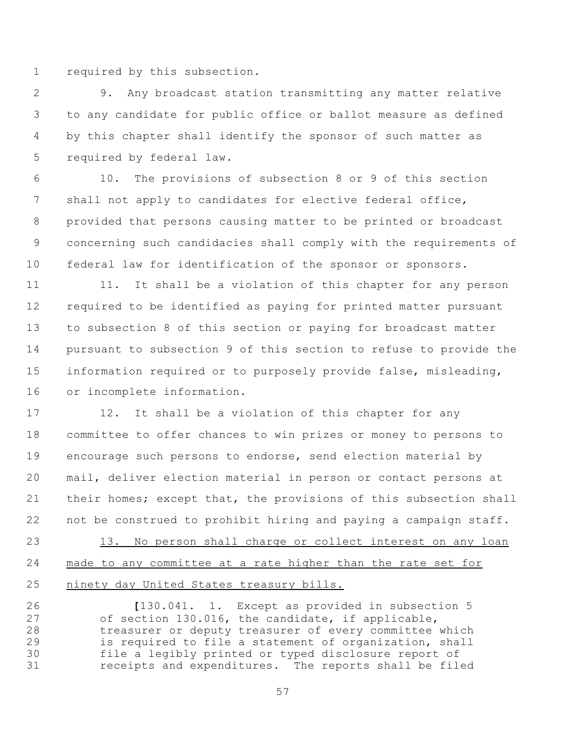required by this subsection.

 9. Any broadcast station transmitting any matter relative to any candidate for public office or ballot measure as defined by this chapter shall identify the sponsor of such matter as required by federal law.

 10. The provisions of subsection 8 or 9 of this section shall not apply to candidates for elective federal office, provided that persons causing matter to be printed or broadcast concerning such candidacies shall comply with the requirements of federal law for identification of the sponsor or sponsors.

11 11. It shall be a violation of this chapter for any person required to be identified as paying for printed matter pursuant to subsection 8 of this section or paying for broadcast matter pursuant to subsection 9 of this section to refuse to provide the information required or to purposely provide false, misleading, or incomplete information.

17 12. It shall be a violation of this chapter for any committee to offer chances to win prizes or money to persons to encourage such persons to endorse, send election material by mail, deliver election material in person or contact persons at 21 their homes; except that, the provisions of this subsection shall not be construed to prohibit hiring and paying a campaign staff.

 13. No person shall charge or collect interest on any loan made to any committee at a rate higher than the rate set for ninety day United States treasury bills.

 **[**130.041. 1. Except as provided in subsection 5 of section 130.016, the candidate, if applicable, treasurer or deputy treasurer of every committee which is required to file a statement of organization, shall file a legibly printed or typed disclosure report of receipts and expenditures. The reports shall be filed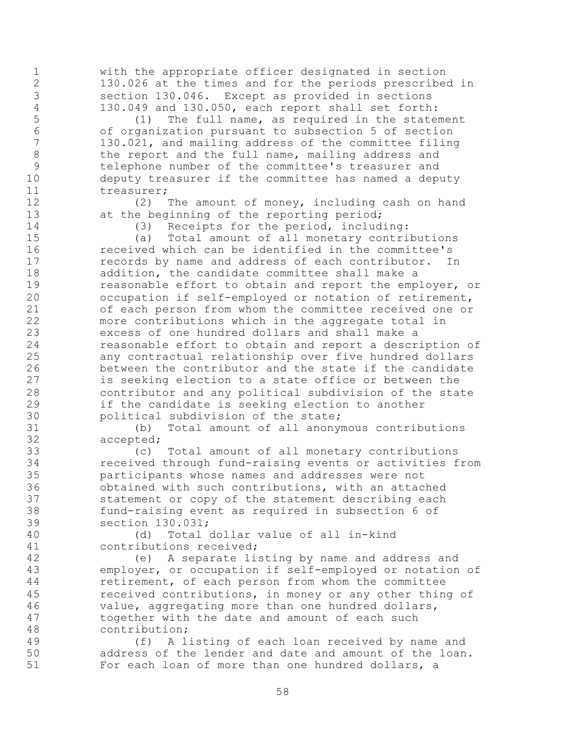with the appropriate officer designated in section 130.026 at the times and for the periods prescribed in section 130.046. Except as provided in sections

4 130.049 and 130.050, each report shall set forth:<br>5 (1) The full name, as required in the state  $(1)$  The full name, as required in the statement of organization pursuant to subsection 5 of section 130.021, and mailing address of the committee filing 8 the report and the full name, mailing address and telephone number of the committee's treasurer and deputy treasurer if the committee has named a deputy 11 treasurer;

 (2) The amount of money, including cash on hand 13 at the beginning of the reporting period;

(3) Receipts for the period, including:

 (a) Total amount of all monetary contributions received which can be identified in the committee's records by name and address of each contributor. In addition, the candidate committee shall make a reasonable effort to obtain and report the employer, or occupation if self-employed or notation of retirement, of each person from whom the committee received one or more contributions which in the aggregate total in excess of one hundred dollars and shall make a reasonable effort to obtain and report a description of any contractual relationship over five hundred dollars between the contributor and the state if the candidate is seeking election to a state office or between the contributor and any political subdivision of the state if the candidate is seeking election to another political subdivision of the state;

 (b) Total amount of all anonymous contributions accepted;

 (c) Total amount of all monetary contributions received through fund-raising events or activities from participants whose names and addresses were not obtained with such contributions, with an attached statement or copy of the statement describing each fund-raising event as required in subsection 6 of section 130.031;

 (d) Total dollar value of all in-kind contributions received;

 (e) A separate listing by name and address and employer, or occupation if self-employed or notation of retirement, of each person from whom the committee received contributions, in money or any other thing of value, aggregating more than one hundred dollars, together with the date and amount of each such contribution;

 (f) A listing of each loan received by name and address of the lender and date and amount of the loan. For each loan of more than one hundred dollars, a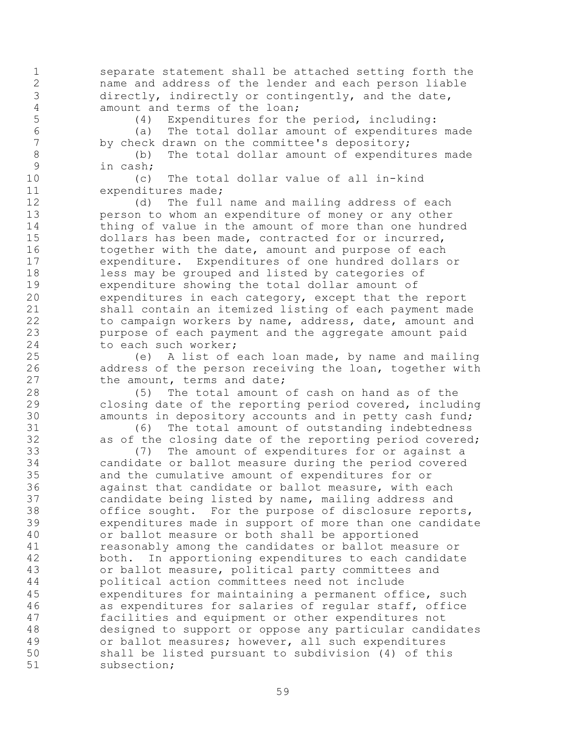separate statement shall be attached setting forth the name and address of the lender and each person liable 3 directly, indirectly or contingently, and the date,<br>4 amount and terms of the loan: 4 amount and terms of the loan;<br>5 (4) Expenditures for the

(4) Expenditures for the period, including:

 (a) The total dollar amount of expenditures made by check drawn on the committee's depository;

 (b) The total dollar amount of expenditures made in cash;

 (c) The total dollar value of all in-kind expenditures made;

 (d) The full name and mailing address of each person to whom an expenditure of money or any other 14 thing of value in the amount of more than one hundred dollars has been made, contracted for or incurred, 16 together with the date, amount and purpose of each expenditure. Expenditures of one hundred dollars or less may be grouped and listed by categories of expenditure showing the total dollar amount of expenditures in each category, except that the report shall contain an itemized listing of each payment made to campaign workers by name, address, date, amount and purpose of each payment and the aggregate amount paid to each such worker;

 (e) A list of each loan made, by name and mailing address of the person receiving the loan, together with 27 the amount, terms and date;

 (5) The total amount of cash on hand as of the closing date of the reporting period covered, including amounts in depository accounts and in petty cash fund;

 (6) The total amount of outstanding indebtedness as of the closing date of the reporting period covered;

 (7) The amount of expenditures for or against a candidate or ballot measure during the period covered and the cumulative amount of expenditures for or against that candidate or ballot measure, with each candidate being listed by name, mailing address and 38 office sought. For the purpose of disclosure reports,<br>39 expenditures made in support of more than one candidat expenditures made in support of more than one candidate or ballot measure or both shall be apportioned reasonably among the candidates or ballot measure or both. In apportioning expenditures to each candidate or ballot measure, political party committees and political action committees need not include expenditures for maintaining a permanent office, such as expenditures for salaries of regular staff, office facilities and equipment or other expenditures not designed to support or oppose any particular candidates or ballot measures; however, all such expenditures shall be listed pursuant to subdivision (4) of this subsection;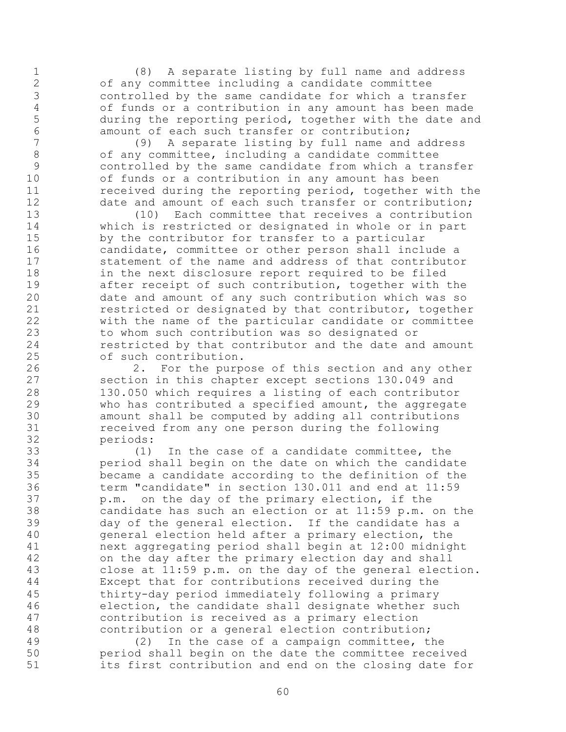(8) A separate listing by full name and address of any committee including a candidate committee controlled by the same candidate for which a transfer 4 of funds or a contribution in any amount has been made<br>5 during the reporting period, together with the date and during the reporting period, together with the date and 6 amount of each such transfer or contribution;<br>7 (9) A separate listing by full name and

 (9) A separate listing by full name and address of any committee, including a candidate committee controlled by the same candidate from which a transfer of funds or a contribution in any amount has been **received during the reporting period, together with the** 12 date and amount of each such transfer or contribution;

 (10) Each committee that receives a contribution which is restricted or designated in whole or in part by the contributor for transfer to a particular candidate, committee or other person shall include a statement of the name and address of that contributor in the next disclosure report required to be filed after receipt of such contribution, together with the date and amount of any such contribution which was so restricted or designated by that contributor, together with the name of the particular candidate or committee to whom such contribution was so designated or restricted by that contributor and the date and amount of such contribution.

 2. For the purpose of this section and any other section in this chapter except sections 130.049 and 130.050 which requires a listing of each contributor who has contributed a specified amount, the aggregate amount shall be computed by adding all contributions received from any one person during the following periods:

 (1) In the case of a candidate committee, the period shall begin on the date on which the candidate became a candidate according to the definition of the term "candidate" in section 130.011 and end at 11:59 p.m. on the day of the primary election, if the 38 candidate has such an election or at 11:59 p.m. on the<br>39 day of the general election. If the candidate has a day of the general election. If the candidate has a general election held after a primary election, the next aggregating period shall begin at 12:00 midnight on the day after the primary election day and shall close at 11:59 p.m. on the day of the general election. Except that for contributions received during the thirty-day period immediately following a primary election, the candidate shall designate whether such contribution is received as a primary election contribution or a general election contribution;

 (2) In the case of a campaign committee, the period shall begin on the date the committee received its first contribution and end on the closing date for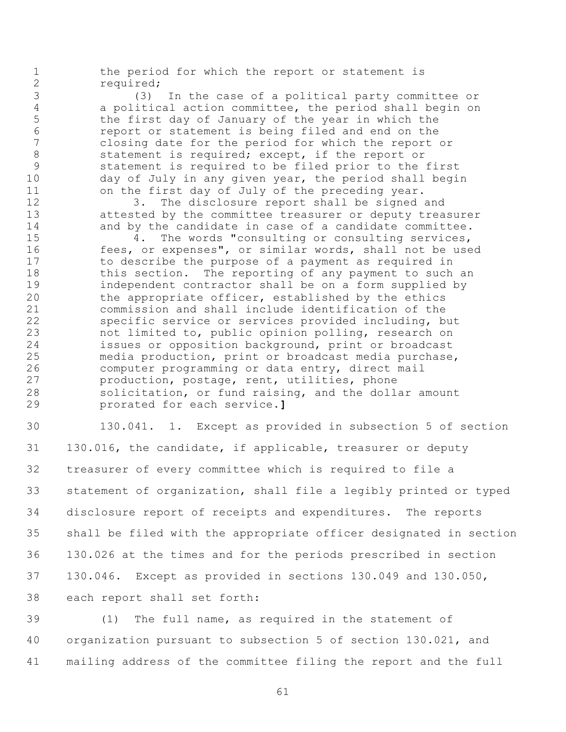the period for which the report or statement is 2 required;

 (3) In the case of a political party committee or a political action committee, the period shall begin on the first day of January of the year in which the report or statement is being filed and end on the closing date for the period for which the report or 8 statement is required; except, if the report or statement is required to be filed prior to the first day of July in any given year, the period shall begin on the first day of July of the preceding year.

 3. The disclosure report shall be signed and attested by the committee treasurer or deputy treasurer 14 and by the candidate in case of a candidate committee.

 4. The words "consulting or consulting services, fees, or expenses", or similar words, shall not be used to describe the purpose of a payment as required in this section. The reporting of any payment to such an independent contractor shall be on a form supplied by the appropriate officer, established by the ethics commission and shall include identification of the specific service or services provided including, but not limited to, public opinion polling, research on issues or opposition background, print or broadcast media production, print or broadcast media purchase, computer programming or data entry, direct mail production, postage, rent, utilities, phone solicitation, or fund raising, and the dollar amount prorated for each service.**]**

 130.041. 1. Except as provided in subsection 5 of section 130.016, the candidate, if applicable, treasurer or deputy treasurer of every committee which is required to file a statement of organization, shall file a legibly printed or typed disclosure report of receipts and expenditures. The reports shall be filed with the appropriate officer designated in section 130.026 at the times and for the periods prescribed in section 130.046. Except as provided in sections 130.049 and 130.050, each report shall set forth:

 (1) The full name, as required in the statement of organization pursuant to subsection 5 of section 130.021, and mailing address of the committee filing the report and the full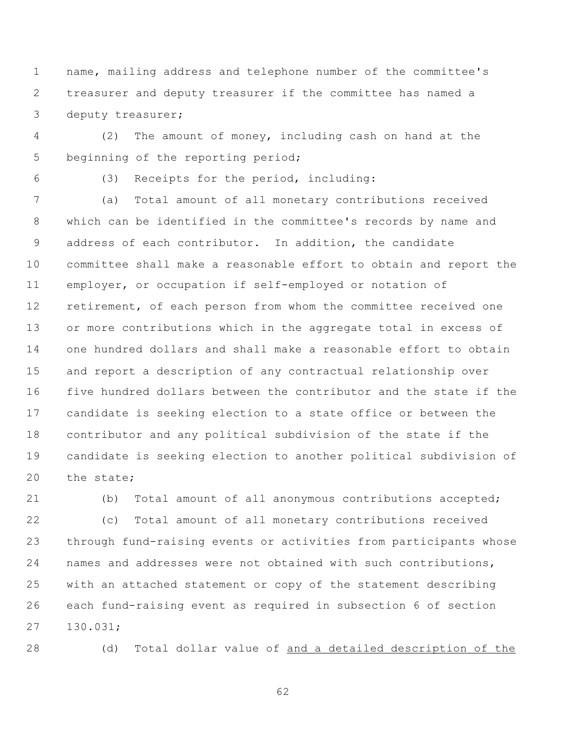name, mailing address and telephone number of the committee's treasurer and deputy treasurer if the committee has named a deputy treasurer;

 (2) The amount of money, including cash on hand at the beginning of the reporting period;

(3) Receipts for the period, including:

 (a) Total amount of all monetary contributions received which can be identified in the committee's records by name and address of each contributor. In addition, the candidate committee shall make a reasonable effort to obtain and report the employer, or occupation if self-employed or notation of retirement, of each person from whom the committee received one or more contributions which in the aggregate total in excess of one hundred dollars and shall make a reasonable effort to obtain and report a description of any contractual relationship over five hundred dollars between the contributor and the state if the candidate is seeking election to a state office or between the contributor and any political subdivision of the state if the candidate is seeking election to another political subdivision of the state;

(b) Total amount of all anonymous contributions accepted;

 (c) Total amount of all monetary contributions received through fund-raising events or activities from participants whose names and addresses were not obtained with such contributions, with an attached statement or copy of the statement describing each fund-raising event as required in subsection 6 of section 130.031;

(d) Total dollar value of and a detailed description of the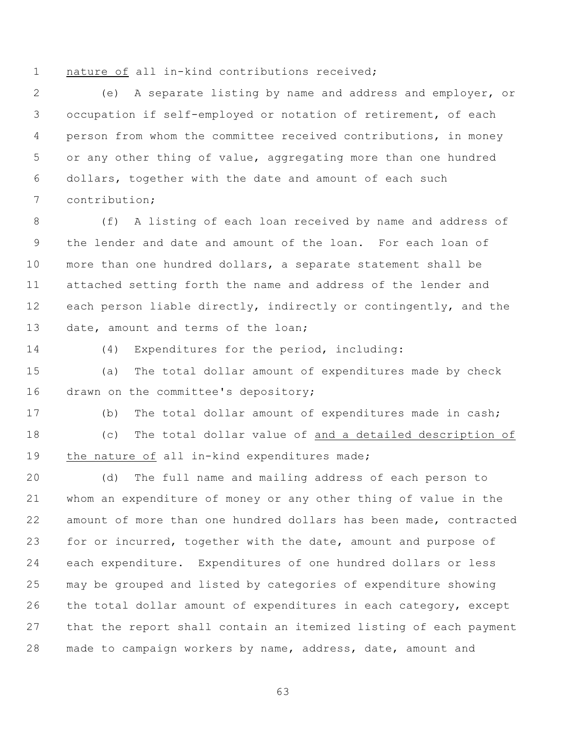nature of all in-kind contributions received;

 (e) A separate listing by name and address and employer, or occupation if self-employed or notation of retirement, of each person from whom the committee received contributions, in money or any other thing of value, aggregating more than one hundred dollars, together with the date and amount of each such contribution;

 (f) A listing of each loan received by name and address of the lender and date and amount of the loan. For each loan of more than one hundred dollars, a separate statement shall be attached setting forth the name and address of the lender and 12 each person liable directly, indirectly or contingently, and the 13 date, amount and terms of the loan;

(4) Expenditures for the period, including:

 (a) The total dollar amount of expenditures made by check 16 drawn on the committee's depository;

 (b) The total dollar amount of expenditures made in cash; (c) The total dollar value of and a detailed description of 19 the nature of all in-kind expenditures made;

 (d) The full name and mailing address of each person to whom an expenditure of money or any other thing of value in the amount of more than one hundred dollars has been made, contracted for or incurred, together with the date, amount and purpose of each expenditure. Expenditures of one hundred dollars or less may be grouped and listed by categories of expenditure showing 26 the total dollar amount of expenditures in each category, except that the report shall contain an itemized listing of each payment made to campaign workers by name, address, date, amount and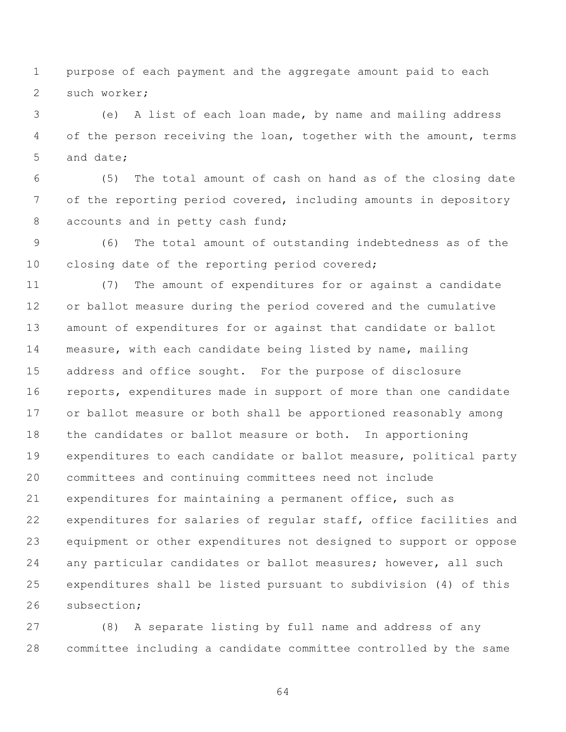purpose of each payment and the aggregate amount paid to each such worker;

 (e) A list of each loan made, by name and mailing address 4 of the person receiving the loan, together with the amount, terms and date;

 (5) The total amount of cash on hand as of the closing date of the reporting period covered, including amounts in depository 8 accounts and in petty cash fund;

 (6) The total amount of outstanding indebtedness as of the closing date of the reporting period covered;

 (7) The amount of expenditures for or against a candidate or ballot measure during the period covered and the cumulative amount of expenditures for or against that candidate or ballot measure, with each candidate being listed by name, mailing address and office sought. For the purpose of disclosure reports, expenditures made in support of more than one candidate or ballot measure or both shall be apportioned reasonably among the candidates or ballot measure or both. In apportioning expenditures to each candidate or ballot measure, political party committees and continuing committees need not include expenditures for maintaining a permanent office, such as expenditures for salaries of regular staff, office facilities and equipment or other expenditures not designed to support or oppose any particular candidates or ballot measures; however, all such expenditures shall be listed pursuant to subdivision (4) of this subsection;

 (8) A separate listing by full name and address of any committee including a candidate committee controlled by the same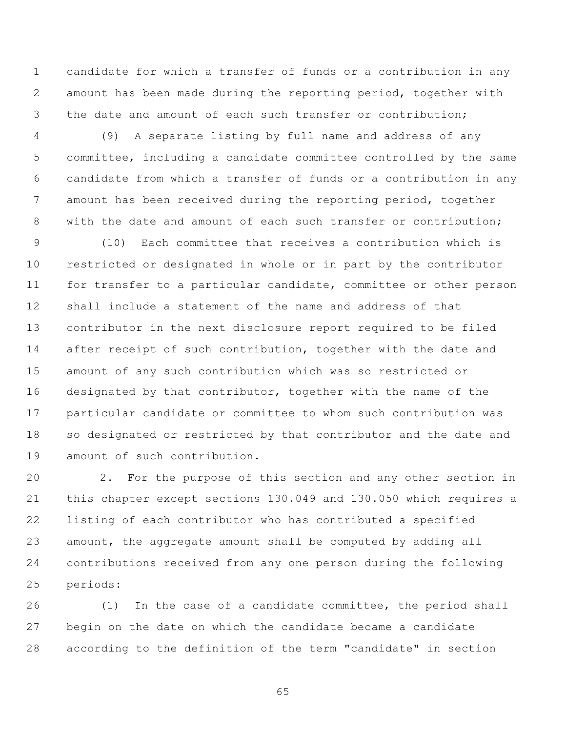candidate for which a transfer of funds or a contribution in any amount has been made during the reporting period, together with the date and amount of each such transfer or contribution;

 (9) A separate listing by full name and address of any committee, including a candidate committee controlled by the same candidate from which a transfer of funds or a contribution in any amount has been received during the reporting period, together with the date and amount of each such transfer or contribution;

 (10) Each committee that receives a contribution which is restricted or designated in whole or in part by the contributor for transfer to a particular candidate, committee or other person shall include a statement of the name and address of that contributor in the next disclosure report required to be filed after receipt of such contribution, together with the date and amount of any such contribution which was so restricted or designated by that contributor, together with the name of the particular candidate or committee to whom such contribution was so designated or restricted by that contributor and the date and amount of such contribution.

 2. For the purpose of this section and any other section in this chapter except sections 130.049 and 130.050 which requires a listing of each contributor who has contributed a specified amount, the aggregate amount shall be computed by adding all contributions received from any one person during the following periods:

 (1) In the case of a candidate committee, the period shall begin on the date on which the candidate became a candidate according to the definition of the term "candidate" in section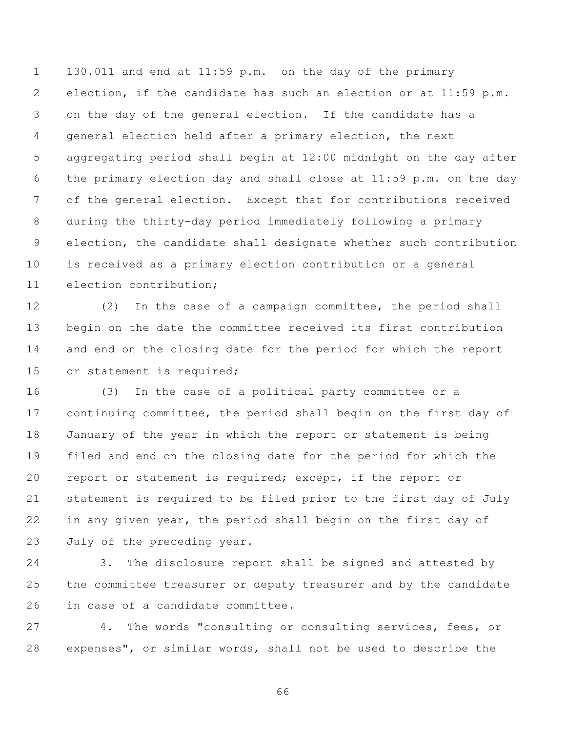130.011 and end at 11:59 p.m. on the day of the primary election, if the candidate has such an election or at 11:59 p.m. on the day of the general election. If the candidate has a general election held after a primary election, the next aggregating period shall begin at 12:00 midnight on the day after the primary election day and shall close at 11:59 p.m. on the day of the general election. Except that for contributions received during the thirty-day period immediately following a primary election, the candidate shall designate whether such contribution is received as a primary election contribution or a general election contribution;

 (2) In the case of a campaign committee, the period shall begin on the date the committee received its first contribution and end on the closing date for the period for which the report or statement is required;

 (3) In the case of a political party committee or a continuing committee, the period shall begin on the first day of January of the year in which the report or statement is being filed and end on the closing date for the period for which the report or statement is required; except, if the report or statement is required to be filed prior to the first day of July in any given year, the period shall begin on the first day of July of the preceding year.

 3. The disclosure report shall be signed and attested by the committee treasurer or deputy treasurer and by the candidate in case of a candidate committee.

 4. The words "consulting or consulting services, fees, or expenses", or similar words, shall not be used to describe the